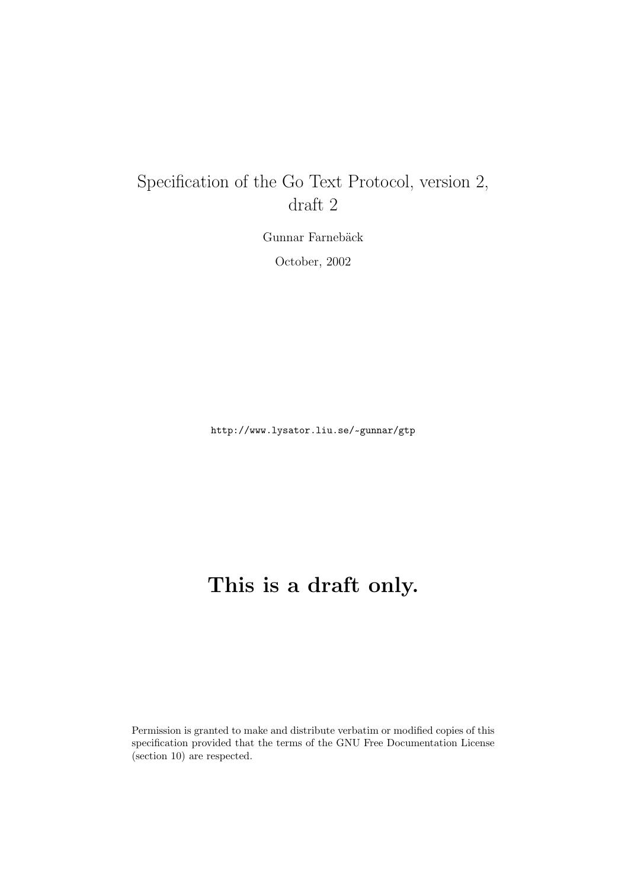# Specification of the Go Text Protocol, version 2, draft 2

Gunnar Farnebäck October, 2002

http://www.lysator.liu.se/~gunnar/gtp

# **This is a draft only.**

Permission is granted to make and distribute verbatim or modified copies of this specification provided that the terms of the GNU Free Documentation License (section 10) are respected.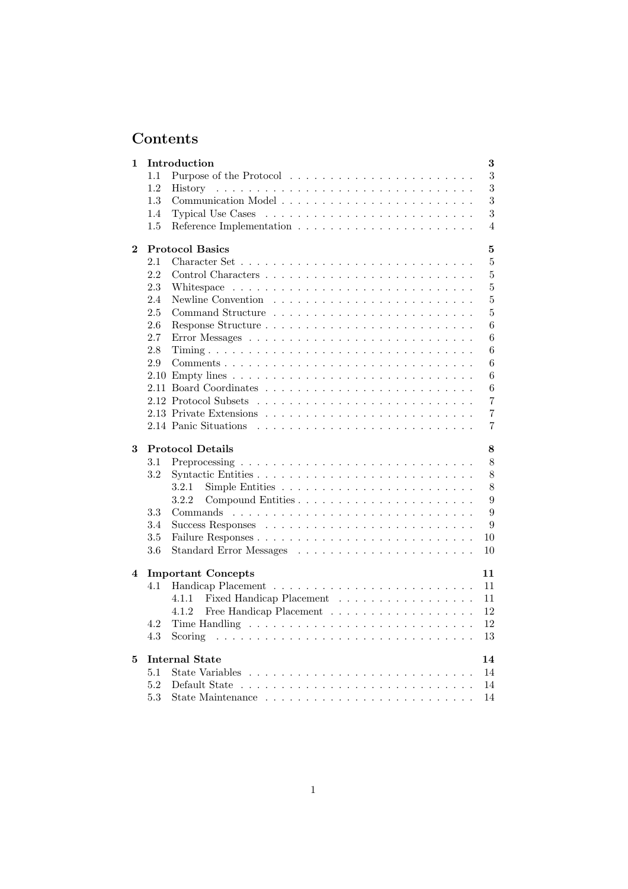# **Contents**

| 1        |     | Introduction<br>3                                                                  |
|----------|-----|------------------------------------------------------------------------------------|
|          | 1.1 | 3                                                                                  |
|          | 1.2 | 3<br>History                                                                       |
|          | 1.3 | 3                                                                                  |
|          | 1.4 | 3                                                                                  |
|          | 1.5 | $\overline{4}$                                                                     |
| $\bf{2}$ |     | $\overline{5}$<br><b>Protocol Basics</b>                                           |
|          | 2.1 | 5                                                                                  |
|          | 2.2 | 5                                                                                  |
|          | 2.3 | 5                                                                                  |
|          | 2.4 | $\overline{5}$                                                                     |
|          | 2.5 | 5                                                                                  |
|          | 2.6 | 6                                                                                  |
|          | 2.7 | 6                                                                                  |
|          | 2.8 | 6                                                                                  |
|          | 2.9 | 6                                                                                  |
|          |     | 6                                                                                  |
|          |     | 6                                                                                  |
|          |     | 7                                                                                  |
|          |     | $\overline{7}$                                                                     |
|          |     | $\overline{7}$                                                                     |
| 3        |     | <b>Protocol Details</b><br>8                                                       |
|          | 3.1 | 8                                                                                  |
|          | 3.2 | 8                                                                                  |
|          |     | 8<br>3.2.1                                                                         |
|          |     | 3.2.2<br>9                                                                         |
|          | 3.3 | 9                                                                                  |
|          | 3.4 | 9                                                                                  |
|          | 3.5 | 10                                                                                 |
|          | 3.6 | 10                                                                                 |
|          |     |                                                                                    |
| 4        |     | 11<br><b>Important Concepts</b>                                                    |
|          | 4.1 | 11                                                                                 |
|          |     | Fixed Handicap Placement<br>11<br>4.1.1                                            |
|          |     | Free Handicap Placement $\ldots \ldots \ldots \ldots \ldots \ldots$<br>12<br>4.1.2 |
|          | 4.2 | 12                                                                                 |
|          | 4.3 | 13                                                                                 |
| 5        |     | <b>Internal State</b><br>14                                                        |
|          | 5.1 | 14                                                                                 |
|          | 5.2 | 14                                                                                 |
|          | 5.3 | 14                                                                                 |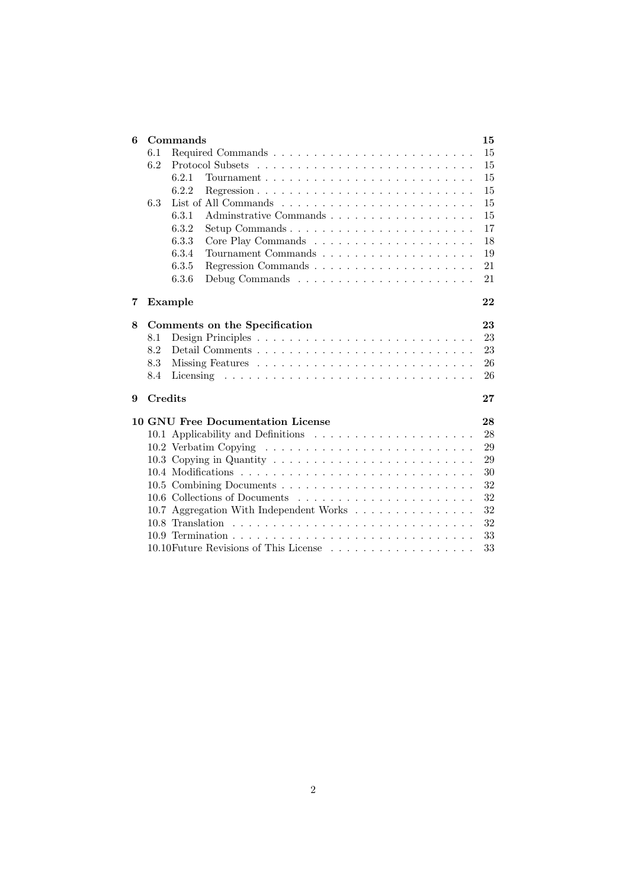| 6 |     | 15<br>Commands                                                                             |    |  |
|---|-----|--------------------------------------------------------------------------------------------|----|--|
|   | 6.1 | 15                                                                                         |    |  |
|   | 6.2 |                                                                                            | 15 |  |
|   |     | 6.2.1                                                                                      | 15 |  |
|   |     | 6.2.2                                                                                      | 15 |  |
|   | 6.3 |                                                                                            | 15 |  |
|   |     | 6.3.1                                                                                      | 15 |  |
|   |     | 6.3.2<br>$Setup$ Commands $\ldots \ldots \ldots \ldots \ldots \ldots \ldots \ldots \ldots$ | 17 |  |
|   |     | 6.3.3                                                                                      | 18 |  |
|   |     | 6.3.4                                                                                      | 19 |  |
|   |     | 6.3.5                                                                                      | 21 |  |
|   |     | 6.3.6                                                                                      | 21 |  |
|   |     |                                                                                            |    |  |
| 7 |     | Example                                                                                    | 22 |  |
| 8 |     | Comments on the Specification                                                              | 23 |  |
|   | 8.1 |                                                                                            | 23 |  |
|   | 8.2 |                                                                                            | 23 |  |
|   | 8.3 |                                                                                            | 26 |  |
|   | 8.4 |                                                                                            | 26 |  |
|   |     |                                                                                            |    |  |
| 9 |     | Credits                                                                                    | 27 |  |
|   |     | 10 GNU Free Documentation License                                                          | 28 |  |
|   |     |                                                                                            | 28 |  |
|   |     |                                                                                            | 29 |  |
|   |     |                                                                                            | 29 |  |
|   |     |                                                                                            | 30 |  |
|   |     |                                                                                            | 32 |  |
|   |     |                                                                                            | 32 |  |
|   |     | 10.7 Aggregation With Independent Works $\dots \dots \dots \dots \dots$                    | 32 |  |
|   |     |                                                                                            | 32 |  |
|   |     |                                                                                            | 33 |  |
|   |     |                                                                                            | 33 |  |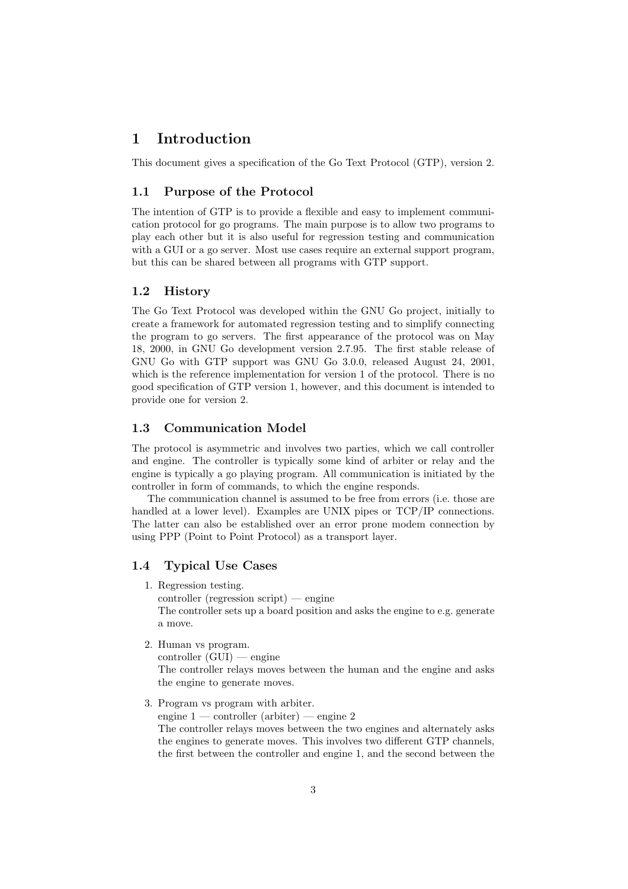### **1 Introduction**

This document gives a specification of the Go Text Protocol (GTP), version 2.

### **1.1 Purpose of the Protocol**

The intention of GTP is to provide a flexible and easy to implement communication protocol for go programs. The main purpose is to allow two programs to play each other but it is also useful for regression testing and communication with a GUI or a go server. Most use cases require an external support program, but this can be shared between all programs with GTP support.

### **1.2 History**

The Go Text Protocol was developed within the GNU Go project, initially to create a framework for automated regression testing and to simplify connecting the program to go servers. The first appearance of the protocol was on May 18, 2000, in GNU Go development version 2.7.95. The first stable release of GNU Go with GTP support was GNU Go 3.0.0, released August 24, 2001, which is the reference implementation for version 1 of the protocol. There is no good specification of GTP version 1, however, and this document is intended to provide one for version 2.

### **1.3 Communication Model**

The protocol is asymmetric and involves two parties, which we call controller and engine. The controller is typically some kind of arbiter or relay and the engine is typically a go playing program. All communication is initiated by the controller in form of commands, to which the engine responds.

The communication channel is assumed to be free from errors (i.e. those are handled at a lower level). Examples are UNIX pipes or TCP/IP connections. The latter can also be established over an error prone modem connection by using PPP (Point to Point Protocol) as a transport layer.

### **1.4 Typical Use Cases**

1. Regression testing.

controller (regression script) — engine The controller sets up a board position and asks the engine to e.g. generate a move.

2. Human vs program.

 $controller (GUI)$  — engine

The controller relays moves between the human and the engine and asks the engine to generate moves.

3. Program vs program with arbiter.

engine  $1$  — controller (arbiter) — engine 2

The controller relays moves between the two engines and alternately asks the engines to generate moves. This involves two different GTP channels, the first between the controller and engine 1, and the second between the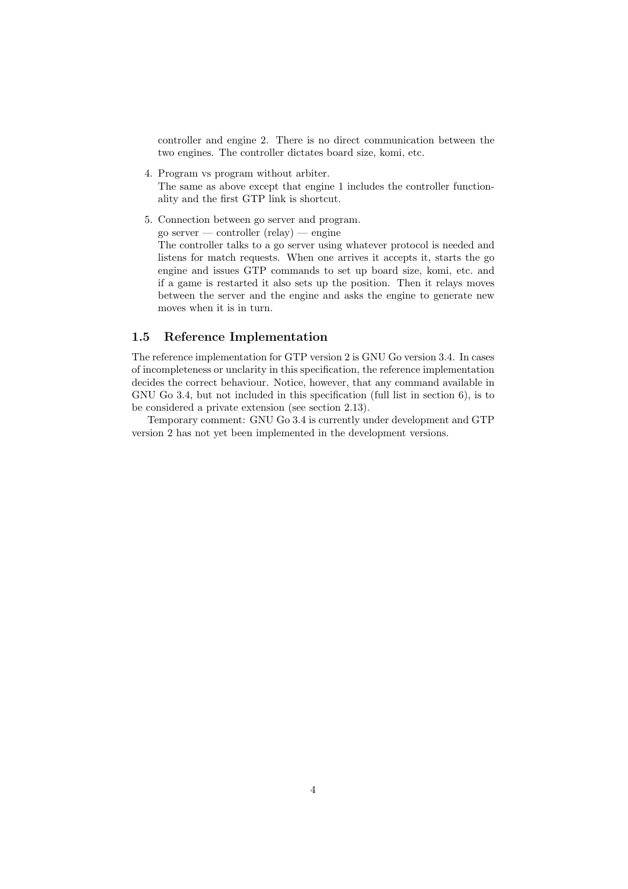controller and engine 2. There is no direct communication between the two engines. The controller dictates board size, komi, etc.

4. Program vs program without arbiter.

The same as above except that engine 1 includes the controller functionality and the first GTP link is shortcut.

5. Connection between go server and program. go server — controller (relay) — engine

The controller talks to a go server using whatever protocol is needed and listens for match requests. When one arrives it accepts it, starts the go engine and issues GTP commands to set up board size, komi, etc. and if a game is restarted it also sets up the position. Then it relays moves between the server and the engine and asks the engine to generate new moves when it is in turn.

### **1.5 Reference Implementation**

The reference implementation for GTP version 2 is GNU Go version 3.4. In cases of incompleteness or unclarity in this specification, the reference implementation decides the correct behaviour. Notice, however, that any command available in GNU Go 3.4, but not included in this specification (full list in section 6), is to be considered a private extension (see section 2.13).

Temporary comment: GNU Go 3.4 is currently under development and GTP version 2 has not yet been implemented in the development versions.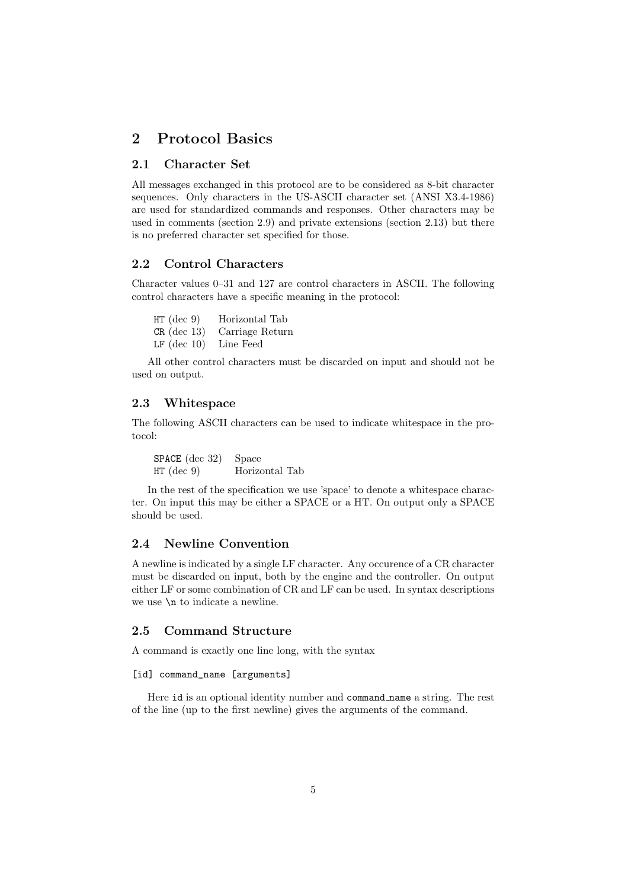### **2 Protocol Basics**

### **2.1 Character Set**

All messages exchanged in this protocol are to be considered as 8-bit character sequences. Only characters in the US-ASCII character set (ANSI X3.4-1986) are used for standardized commands and responses. Other characters may be used in comments (section 2.9) and private extensions (section 2.13) but there is no preferred character set specified for those.

### **2.2 Control Characters**

Character values 0–31 and 127 are control characters in ASCII. The following control characters have a specific meaning in the protocol:

HT (dec 9) Horizontal Tab CR (dec 13) Carriage Return LF (dec 10) Line Feed

All other control characters must be discarded on input and should not be used on output.

### **2.3 Whitespace**

The following ASCII characters can be used to indicate whitespace in the protocol:

SPACE (dec 32) Space HT (dec 9) Horizontal Tab

In the rest of the specification we use 'space' to denote a whitespace character. On input this may be either a SPACE or a HT. On output only a SPACE should be used.

### **2.4 Newline Convention**

A newline is indicated by a single LF character. Any occurence of a CR character must be discarded on input, both by the engine and the controller. On output either LF or some combination of CR and LF can be used. In syntax descriptions we use \n to indicate a newline.

### **2.5 Command Structure**

A command is exactly one line long, with the syntax

#### [id] command\_name [arguments]

Here id is an optional identity number and command name a string. The rest of the line (up to the first newline) gives the arguments of the command.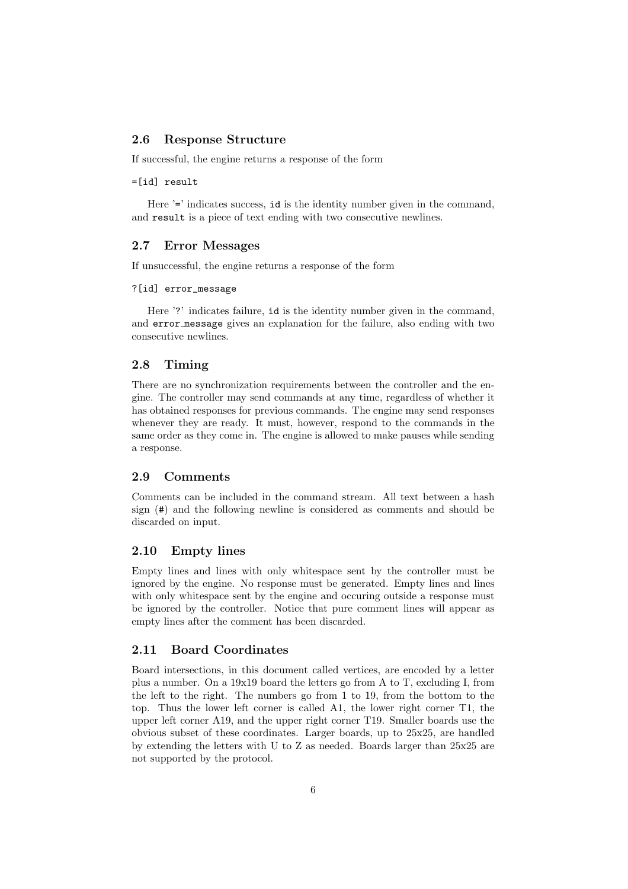### **2.6 Response Structure**

If successful, the engine returns a response of the form

### =[id] result

Here '=' indicates success, id is the identity number given in the command, and result is a piece of text ending with two consecutive newlines.

### **2.7 Error Messages**

If unsuccessful, the engine returns a response of the form

#### ?[id] error\_message

Here '?' indicates failure, id is the identity number given in the command, and error message gives an explanation for the failure, also ending with two consecutive newlines.

### **2.8 Timing**

There are no synchronization requirements between the controller and the engine. The controller may send commands at any time, regardless of whether it has obtained responses for previous commands. The engine may send responses whenever they are ready. It must, however, respond to the commands in the same order as they come in. The engine is allowed to make pauses while sending a response.

### **2.9 Comments**

Comments can be included in the command stream. All text between a hash sign (#) and the following newline is considered as comments and should be discarded on input.

### **2.10 Empty lines**

Empty lines and lines with only whitespace sent by the controller must be ignored by the engine. No response must be generated. Empty lines and lines with only whitespace sent by the engine and occuring outside a response must be ignored by the controller. Notice that pure comment lines will appear as empty lines after the comment has been discarded.

### **2.11 Board Coordinates**

Board intersections, in this document called vertices, are encoded by a letter plus a number. On a 19x19 board the letters go from A to T, excluding I, from the left to the right. The numbers go from 1 to 19, from the bottom to the top. Thus the lower left corner is called A1, the lower right corner T1, the upper left corner A19, and the upper right corner T19. Smaller boards use the obvious subset of these coordinates. Larger boards, up to 25x25, are handled by extending the letters with U to Z as needed. Boards larger than 25x25 are not supported by the protocol.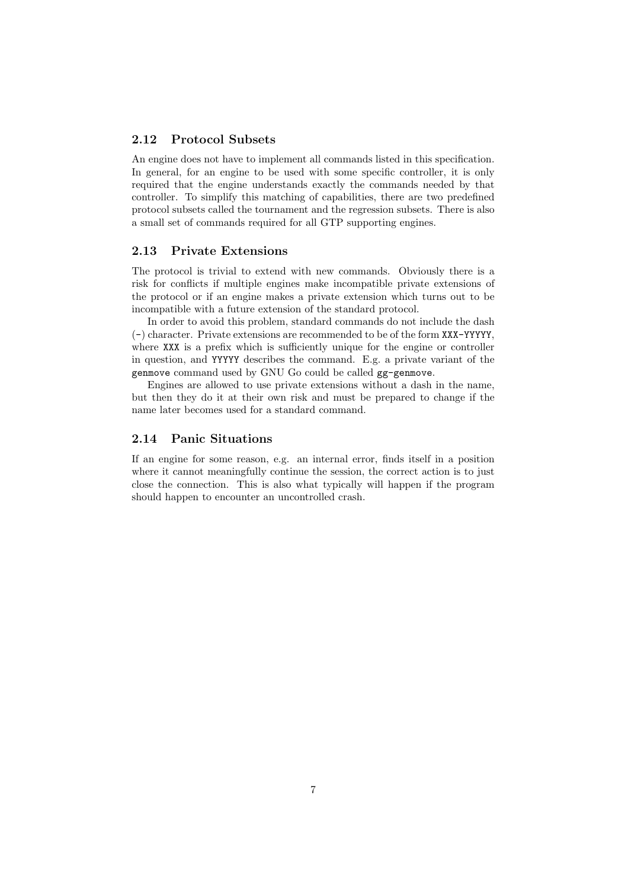### **2.12 Protocol Subsets**

An engine does not have to implement all commands listed in this specification. In general, for an engine to be used with some specific controller, it is only required that the engine understands exactly the commands needed by that controller. To simplify this matching of capabilities, there are two predefined protocol subsets called the tournament and the regression subsets. There is also a small set of commands required for all GTP supporting engines.

### **2.13 Private Extensions**

The protocol is trivial to extend with new commands. Obviously there is a risk for conflicts if multiple engines make incompatible private extensions of the protocol or if an engine makes a private extension which turns out to be incompatible with a future extension of the standard protocol.

In order to avoid this problem, standard commands do not include the dash (-) character. Private extensions are recommended to be of the form XXX-YYYYY, where XXX is a prefix which is sufficiently unique for the engine or controller in question, and YYYYY describes the command. E.g. a private variant of the genmove command used by GNU Go could be called gg-genmove.

Engines are allowed to use private extensions without a dash in the name, but then they do it at their own risk and must be prepared to change if the name later becomes used for a standard command.

### **2.14 Panic Situations**

If an engine for some reason, e.g. an internal error, finds itself in a position where it cannot meaningfully continue the session, the correct action is to just close the connection. This is also what typically will happen if the program should happen to encounter an uncontrolled crash.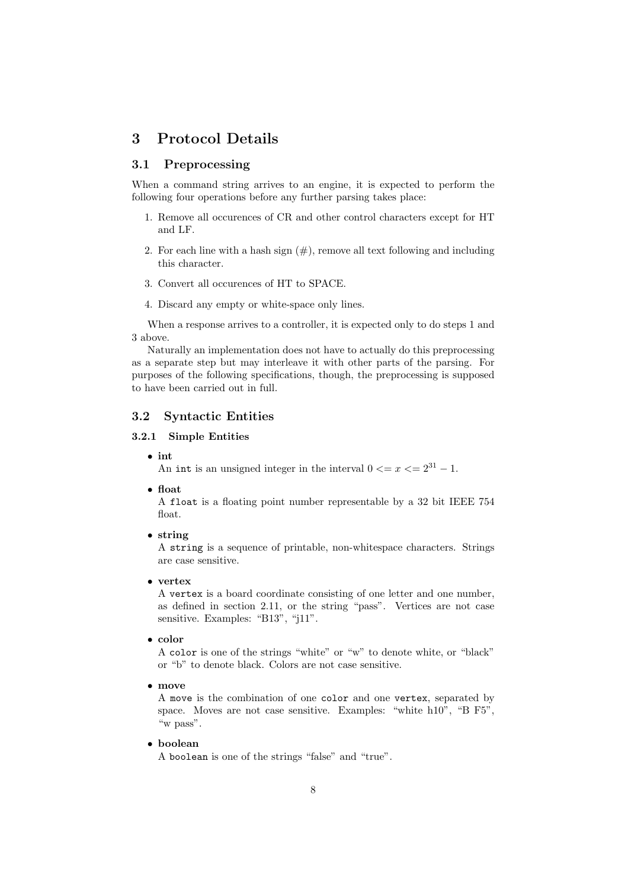### **3 Protocol Details**

### **3.1 Preprocessing**

When a command string arrives to an engine, it is expected to perform the following four operations before any further parsing takes place:

- 1. Remove all occurences of CR and other control characters except for HT and LF.
- 2. For each line with a hash sign  $(\#)$ , remove all text following and including this character.
- 3. Convert all occurences of HT to SPACE.
- 4. Discard any empty or white-space only lines.

When a response arrives to a controller, it is expected only to do steps 1 and 3 above.

Naturally an implementation does not have to actually do this preprocessing as a separate step but may interleave it with other parts of the parsing. For purposes of the following specifications, though, the preprocessing is supposed to have been carried out in full.

### **3.2 Syntactic Entities**

### **3.2.1 Simple Entities**

• **int**

An int is an unsigned integer in the interval  $0 \le x \le 2^{31} - 1$ .

• **float**

A float is a floating point number representable by a 32 bit IEEE 754 float.

• **string**

A string is a sequence of printable, non-whitespace characters. Strings are case sensitive.

• **vertex**

A vertex is a board coordinate consisting of one letter and one number, as defined in section 2.11, or the string "pass". Vertices are not case sensitive. Examples: "B13", "j11".

• **color**

A color is one of the strings "white" or "w" to denote white, or "black" or "b" to denote black. Colors are not case sensitive.

• **move**

A move is the combination of one color and one vertex, separated by space. Moves are not case sensitive. Examples: "white h10", "B F5", "w pass".

• **boolean**

A boolean is one of the strings "false" and "true".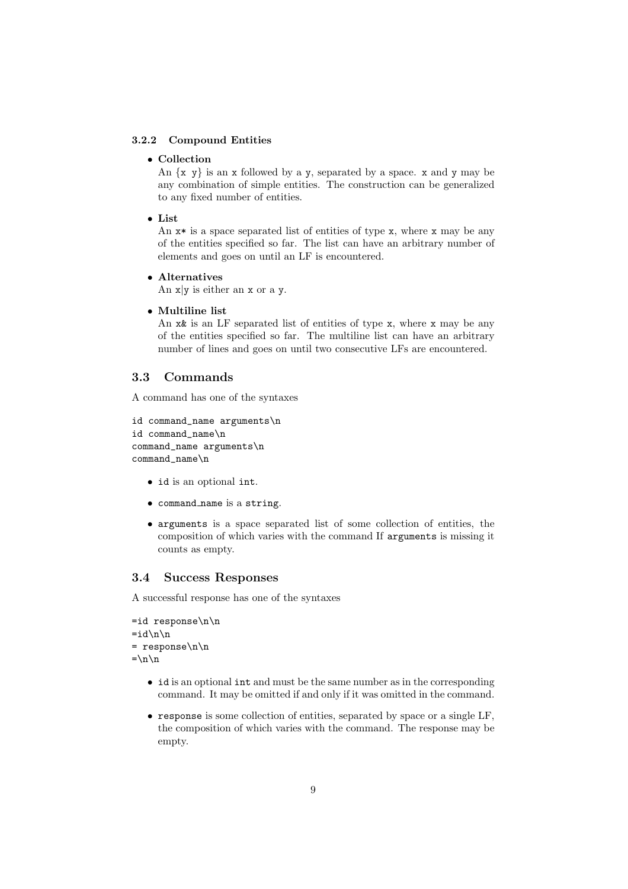### **3.2.2 Compound Entities**

#### • **Collection**

An  $\{x, y\}$  is an x followed by a y, separated by a space. x and y may be any combination of simple entities. The construction can be generalized to any fixed number of entities.

• **List**

An  $x*$  is a space separated list of entities of type x, where x may be any of the entities specified so far. The list can have an arbitrary number of elements and goes on until an LF is encountered.

### • **Alternatives**

An  $x|y$  is either an x or a y.

• **Multiline list**

An x& is an LF separated list of entities of type x, where x may be any of the entities specified so far. The multiline list can have an arbitrary number of lines and goes on until two consecutive LFs are encountered.

### **3.3 Commands**

A command has one of the syntaxes

```
id command_name arguments\n
id command_name\n
command_name arguments\n
command_name\n
```
- id is an optional int.
- command name is a string.
- arguments is a space separated list of some collection of entities, the composition of which varies with the command If arguments is missing it counts as empty.

### **3.4 Success Responses**

A successful response has one of the syntaxes

```
=id response\n\n
=i d \n\in \mathbb{R}= response\n\n
=\n\frac{}{}
```
- id is an optional int and must be the same number as in the corresponding command. It may be omitted if and only if it was omitted in the command.
- response is some collection of entities, separated by space or a single LF, the composition of which varies with the command. The response may be empty.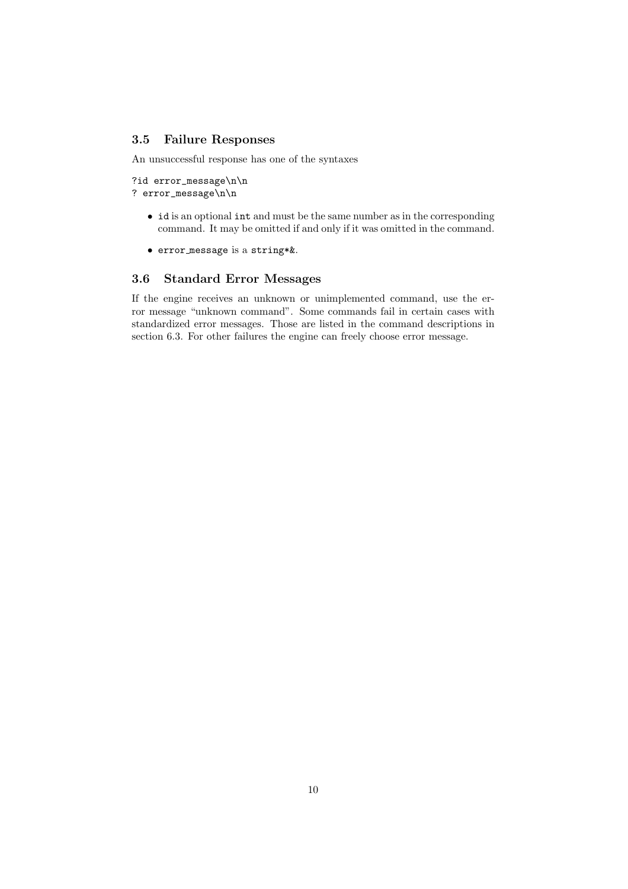### **3.5 Failure Responses**

An unsuccessful response has one of the syntaxes

?id error\_message\n\n ? error\_message\n\n

- id is an optional int and must be the same number as in the corresponding command. It may be omitted if and only if it was omitted in the command.
- error message is a string\*&.

### **3.6 Standard Error Messages**

If the engine receives an unknown or unimplemented command, use the error message "unknown command". Some commands fail in certain cases with standardized error messages. Those are listed in the command descriptions in section 6.3. For other failures the engine can freely choose error message.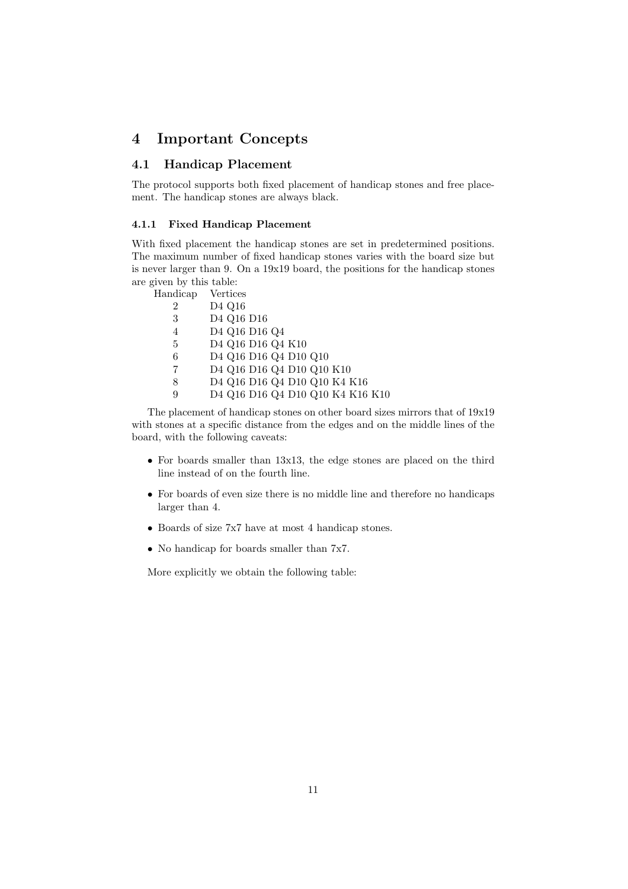### **4 Important Concepts**

### **4.1 Handicap Placement**

The protocol supports both fixed placement of handicap stones and free placement. The handicap stones are always black.

### **4.1.1 Fixed Handicap Placement**

With fixed placement the handicap stones are set in predetermined positions. The maximum number of fixed handicap stones varies with the board size but is never larger than 9. On a 19x19 board, the positions for the handicap stones are given by this table:<br>Handicap Vertic

| Handicap       | Vertices                         |
|----------------|----------------------------------|
| $\overline{2}$ | D <sub>4</sub> Q <sub>16</sub>   |
| 3              | D4 Q16 D16                       |
| 4              | D4 Q16 D16 Q4                    |
| 5              | D4 Q16 D16 Q4 K10                |
| 6              | D4 Q16 D16 Q4 D10 Q10            |
| 7              | D4 Q16 D16 Q4 D10 Q10 K10        |
| 8              | D4 Q16 D16 Q4 D10 Q10 K4 K16     |
| 9              | D4 Q16 D16 Q4 D10 Q10 K4 K16 K10 |

The placement of handicap stones on other board sizes mirrors that of 19x19 with stones at a specific distance from the edges and on the middle lines of the board, with the following caveats:

- For boards smaller than 13x13, the edge stones are placed on the third line instead of on the fourth line.
- For boards of even size there is no middle line and therefore no handicaps larger than 4.
- Boards of size 7x7 have at most 4 handicap stones.
- No handicap for boards smaller than 7x7.

More explicitly we obtain the following table: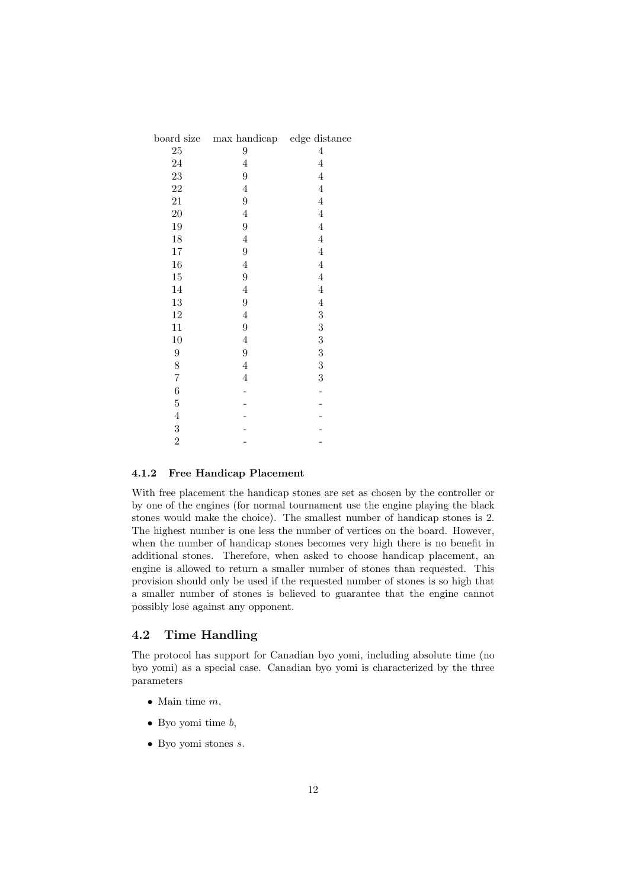| board size       | max handicap edge distance |                  |
|------------------|----------------------------|------------------|
| $25\,$           | 9                          | $\overline{4}$   |
| $24\,$           | $\overline{4}$             | $\overline{4}$   |
| 23               | 9                          | $\overline{4}$   |
| 22               | $\overline{4}$             | $\overline{4}$   |
| 21               | $\boldsymbol{9}$           | $\overline{4}$   |
| <b>20</b>        | $\overline{4}$             | $\overline{4}$   |
| 19               | $\boldsymbol{9}$           | $\overline{4}$   |
| 18               | $\overline{4}$             | $\overline{4}$   |
| 17               | $\boldsymbol{9}$           | $\overline{4}$   |
| 16               | $\overline{4}$             | $\overline{4}$   |
| 15               | $\boldsymbol{9}$           | $\overline{4}$   |
| 14               | $\overline{4}$             | $\overline{4}$   |
| 13               | $\overline{9}$             | $\overline{4}$   |
| $12\,$           | $\overline{4}$             | $\boldsymbol{3}$ |
| 11               | $\boldsymbol{9}$           | $\boldsymbol{3}$ |
| 10               | $\overline{4}$             | $\boldsymbol{3}$ |
| $\boldsymbol{9}$ | $\boldsymbol{9}$           | $\boldsymbol{3}$ |
| 8                | $\overline{4}$             | $\boldsymbol{3}$ |
| $\!\!7$          | $\overline{4}$             | $\boldsymbol{3}$ |
| 6                |                            |                  |
| $\overline{5}$   |                            |                  |
| $\overline{4}$   |                            |                  |
| $\boldsymbol{3}$ |                            |                  |
| $\overline{2}$   |                            |                  |

### **4.1.2 Free Handicap Placement**

With free placement the handicap stones are set as chosen by the controller or by one of the engines (for normal tournament use the engine playing the black stones would make the choice). The smallest number of handicap stones is 2. The highest number is one less the number of vertices on the board. However, when the number of handicap stones becomes very high there is no benefit in additional stones. Therefore, when asked to choose handicap placement, an engine is allowed to return a smaller number of stones than requested. This provision should only be used if the requested number of stones is so high that a smaller number of stones is believed to guarantee that the engine cannot possibly lose against any opponent.

### **4.2 Time Handling**

The protocol has support for Canadian byo yomi, including absolute time (no byo yomi) as a special case. Canadian byo yomi is characterized by the three parameters

- Main time  $m$ ,
- Byo yomi time  $b$ ,
- Byo yomi stones s.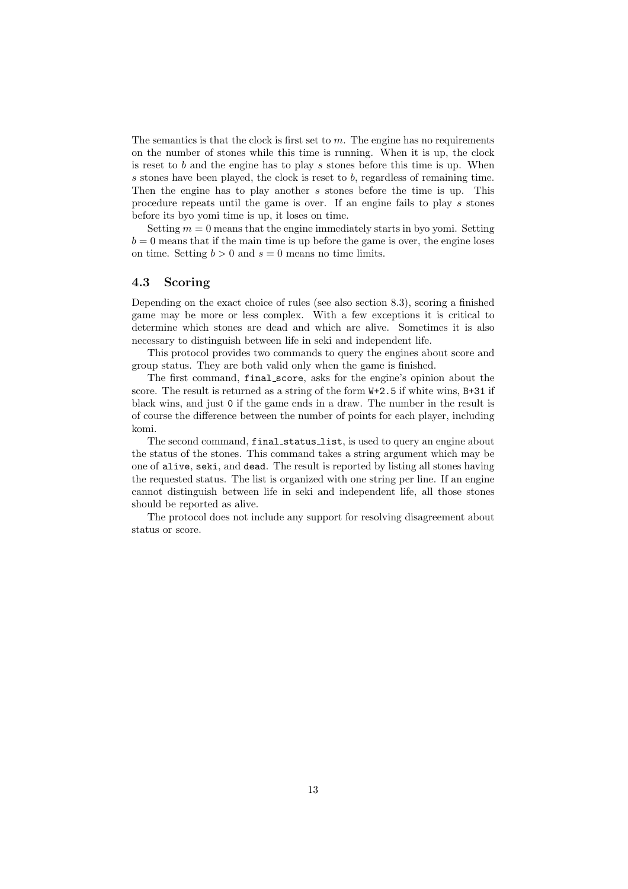The semantics is that the clock is first set to  $m$ . The engine has no requirements on the number of stones while this time is running. When it is up, the clock is reset to  $b$  and the engine has to play  $s$  stones before this time is up. When s stones have been played, the clock is reset to  $b$ , regardless of remaining time. Then the engine has to play another s stones before the time is up. This procedure repeats until the game is over. If an engine fails to play s stones before its byo yomi time is up, it loses on time.

Setting  $m = 0$  means that the engine immediately starts in byo yomi. Setting  $b = 0$  means that if the main time is up before the game is over, the engine loses on time. Setting  $b > 0$  and  $s = 0$  means no time limits.

### **4.3 Scoring**

Depending on the exact choice of rules (see also section 8.3), scoring a finished game may be more or less complex. With a few exceptions it is critical to determine which stones are dead and which are alive. Sometimes it is also necessary to distinguish between life in seki and independent life.

This protocol provides two commands to query the engines about score and group status. They are both valid only when the game is finished.

The first command, final score, asks for the engine's opinion about the score. The result is returned as a string of the form  $W+2.5$  if white wins, B+31 if black wins, and just 0 if the game ends in a draw. The number in the result is of course the difference between the number of points for each player, including komi.

The second command, final\_status\_list, is used to query an engine about the status of the stones. This command takes a string argument which may be one of alive, seki, and dead. The result is reported by listing all stones having the requested status. The list is organized with one string per line. If an engine cannot distinguish between life in seki and independent life, all those stones should be reported as alive.

The protocol does not include any support for resolving disagreement about status or score.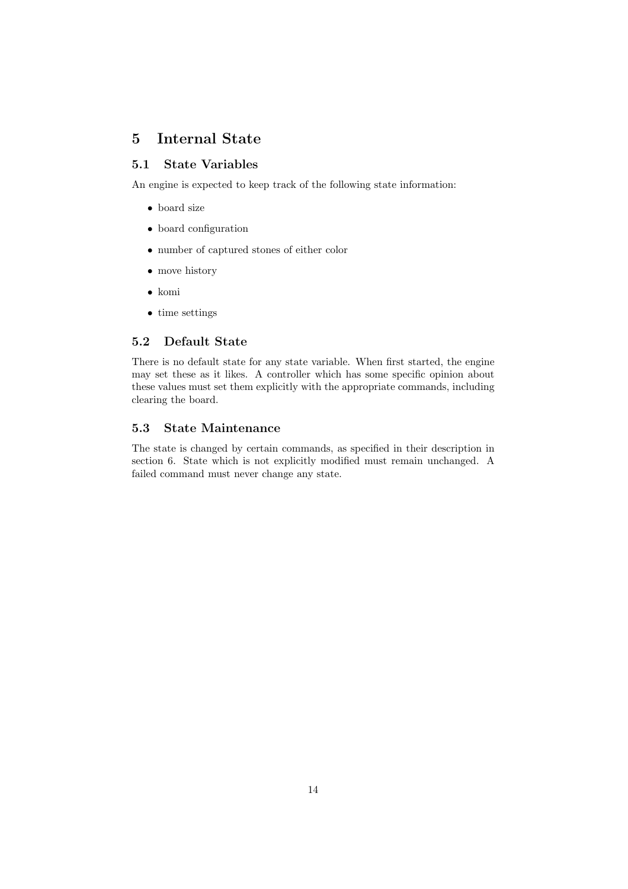## **5 Internal State**

### **5.1 State Variables**

An engine is expected to keep track of the following state information:

- board size
- board configuration
- number of captured stones of either color
- move history
- komi
- time settings

### **5.2 Default State**

There is no default state for any state variable. When first started, the engine may set these as it likes. A controller which has some specific opinion about these values must set them explicitly with the appropriate commands, including clearing the board.

### **5.3 State Maintenance**

The state is changed by certain commands, as specified in their description in section 6. State which is not explicitly modified must remain unchanged. A failed command must never change any state.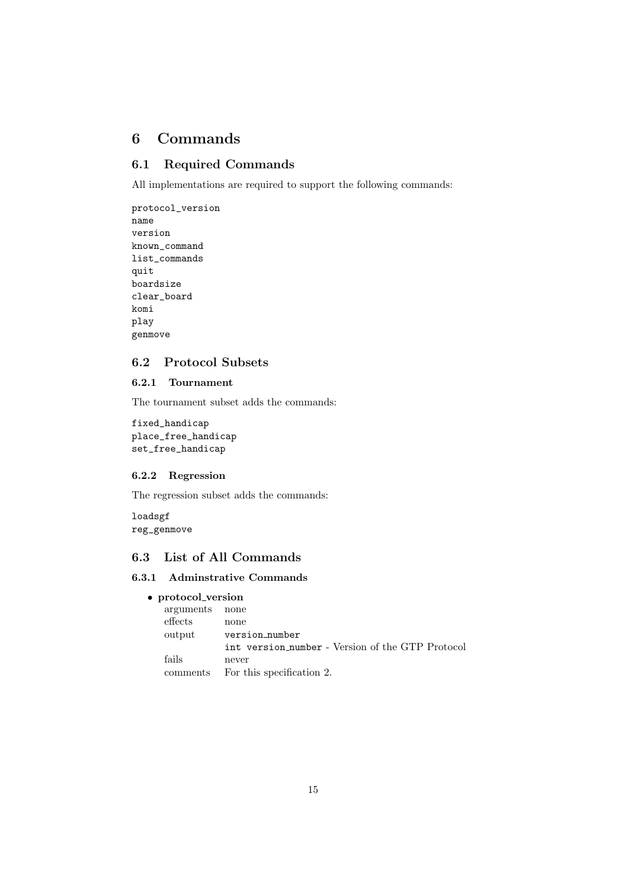### **6 Commands**

### **6.1 Required Commands**

All implementations are required to support the following commands:

protocol\_version name version known\_command list\_commands quit boardsize clear\_board komi play genmove

### **6.2 Protocol Subsets**

### **6.2.1 Tournament**

The tournament subset adds the commands:

fixed\_handicap place\_free\_handicap set\_free\_handicap

### **6.2.2 Regression**

The regression subset adds the commands:

loadsgf reg\_genmove

### **6.3 List of All Commands**

### **6.3.1 Adminstrative Commands**

### • **protocol version**

| arguments | none                                             |
|-----------|--------------------------------------------------|
| effects   | none                                             |
| output    | version_number                                   |
|           | int version number - Version of the GTP Protocol |
| fails     | never                                            |
| comments  | For this specification 2.                        |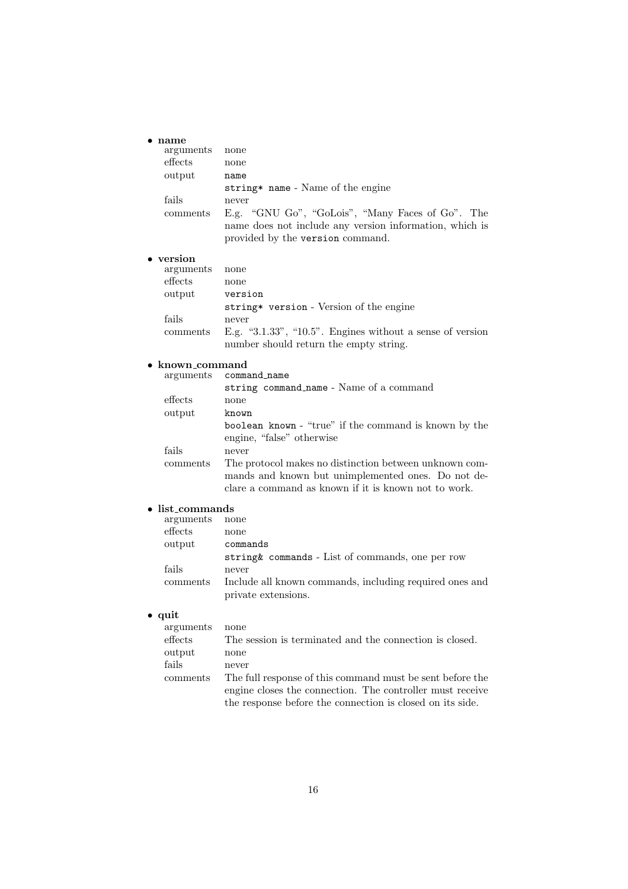### • **name**

| arguments            | none                                                                                                                                                                 |
|----------------------|----------------------------------------------------------------------------------------------------------------------------------------------------------------------|
| effects              | none                                                                                                                                                                 |
| output               | name                                                                                                                                                                 |
|                      | string* name - Name of the engine                                                                                                                                    |
| fails                | never                                                                                                                                                                |
| comments             | E.g. "GNU Go", "GoLois", "Many Faces of Go". The<br>name does not include any version information, which is<br>provided by the version command.                      |
| • version            |                                                                                                                                                                      |
| arguments            | none                                                                                                                                                                 |
| effects              | none                                                                                                                                                                 |
| output               | version                                                                                                                                                              |
|                      | string* version - Version of the engine                                                                                                                              |
| fails                | never                                                                                                                                                                |
| comments             | E.g. "3.1.33", " $10.5$ ". Engines without a sense of version<br>number should return the empty string.                                                              |
| known_command        |                                                                                                                                                                      |
| arguments            | command_name                                                                                                                                                         |
|                      | string command_name - Name of a command                                                                                                                              |
| effects              | none                                                                                                                                                                 |
| output               | known                                                                                                                                                                |
|                      | boolean known - "true" if the command is known by the<br>engine, "false" otherwise                                                                                   |
| fails                | never                                                                                                                                                                |
| comments             | The protocol makes no distinction between unknown com-<br>mands and known but unimplemented ones. Do not de-<br>clare a command as known if it is known not to work. |
| <u>list commonds</u> |                                                                                                                                                                      |

#### • **list commands**

| arguments | none                                                    |
|-----------|---------------------------------------------------------|
| effects   | none                                                    |
| output    | commands                                                |
|           | string & commands - List of commands, one per row       |
| fails     | never                                                   |
| comments  | Include all known commands, including required ones and |
|           | private extensions.                                     |

### • **quit**

| arguments | none                                                      |
|-----------|-----------------------------------------------------------|
| effects   | The session is terminated and the connection is closed.   |
| output    | none                                                      |
| fails     | never                                                     |
| comments  | The full response of this command must be sent before the |
|           | engine closes the connection. The controller must receive |
|           | the response before the connection is closed on its side. |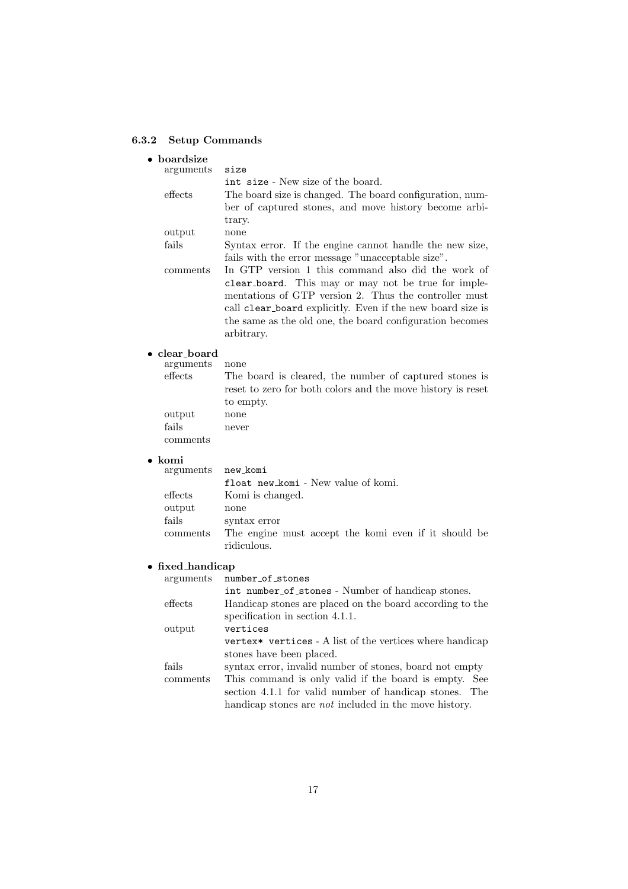### **6.3.2 Setup Commands**

| boardsize                     |                                                                                                         |
|-------------------------------|---------------------------------------------------------------------------------------------------------|
| arguments                     | size                                                                                                    |
|                               | int size - New size of the board.                                                                       |
| effects                       | The board size is changed. The board configuration, num-                                                |
|                               | ber of captured stones, and move history become arbi-                                                   |
|                               | trary.                                                                                                  |
| output                        | none                                                                                                    |
| fails                         | Syntax error. If the engine cannot handle the new size,                                                 |
| comments                      | fails with the error message "unacceptable size".<br>In GTP version 1 this command also did the work of |
|                               | clear_board. This may or may not be true for imple-                                                     |
|                               | mentations of GTP version 2. Thus the controller must                                                   |
|                               | call clear_board explicitly. Even if the new board size is                                              |
|                               | the same as the old one, the board configuration becomes                                                |
|                               | arbitrary.                                                                                              |
|                               |                                                                                                         |
| • clear_board                 |                                                                                                         |
| arguments<br>effects          | none<br>The board is cleared, the number of captured stones is                                          |
|                               | reset to zero for both colors and the move history is reset                                             |
|                               | to empty.                                                                                               |
| output                        | none                                                                                                    |
| fails                         | never                                                                                                   |
| comments                      |                                                                                                         |
|                               |                                                                                                         |
| komi<br>arguments             | new_komi                                                                                                |
|                               | float new komi - New value of komi.                                                                     |
| effects                       | Komi is changed.                                                                                        |
| output                        | none                                                                                                    |
| fails                         | syntax error                                                                                            |
| comments                      | The engine must accept the komi even if it should be                                                    |
|                               | ridiculous.                                                                                             |
|                               |                                                                                                         |
| • fixed_handicap<br>arguments | number_of_stones                                                                                        |
|                               | int number of stones - Number of handicap stones.                                                       |
| effects                       | Handicap stones are placed on the board according to the                                                |
|                               | specification in section 4.1.1.                                                                         |
| output                        | vertices                                                                                                |
|                               | vertex* vertices - A list of the vertices where handicap                                                |
|                               | stones have been placed.                                                                                |
| fails                         | syntax error, invalid number of stones, board not empty                                                 |
| comments                      | This command is only valid if the board is empty. See                                                   |
|                               | section 4.1.1 for valid number of handicap stones.<br>The                                               |
|                               | handicap stones are <i>not</i> included in the move history.                                            |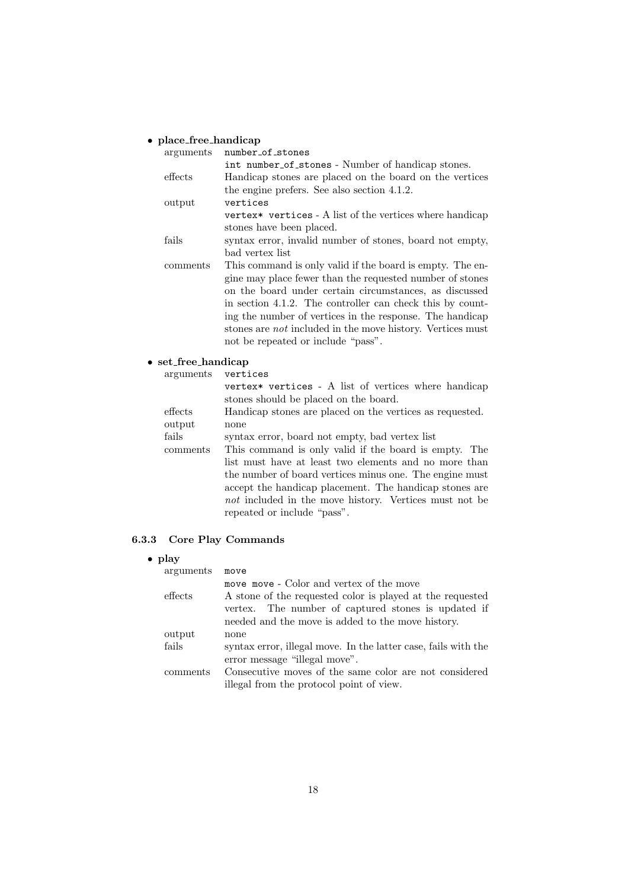### • **place free handicap**

| arguments | number of stones                                                  |
|-----------|-------------------------------------------------------------------|
|           | int number of stones - Number of handicap stones.                 |
| effects   | Handicap stones are placed on the board on the vertices           |
|           | the engine prefers. See also section 4.1.2.                       |
| output    | vertices                                                          |
|           | vertex* vertices - A list of the vertices where handicap          |
|           | stones have been placed.                                          |
| fails     | syntax error, invalid number of stones, board not empty,          |
|           | bad vertex list                                                   |
| comments  | This command is only valid if the board is empty. The en-         |
|           | gine may place fewer than the requested number of stones          |
|           | on the board under certain circumstances, as discussed            |
|           | in section 4.1.2. The controller can check this by count-         |
|           | ing the number of vertices in the response. The handicap          |
|           | stones are <i>not</i> included in the move history. Vertices must |
|           | not be repeated or include "pass".                                |
|           |                                                                   |

• **set free handicap** arguments

vertex\* vertices - A list of vertices where handicap stones should be placed on the board. effects Handicap stones are placed on the vertices as requested. output none<br>fails synta syntax error, board not empty, bad vertex list comments This command is only valid if the board is empty. The list must have at least two elements and no more than the number of board vertices minus one. The engine must accept the handicap placement. The handicap stones are *not* included in the move history. Vertices must not be repeated or include "pass".

### **6.3.3 Core Play Commands**

### • **play**

| arguments | move                                                                                                                                                                  |
|-----------|-----------------------------------------------------------------------------------------------------------------------------------------------------------------------|
|           | move move - Color and vertex of the move                                                                                                                              |
| effects   | A stone of the requested color is played at the requested<br>vertex. The number of captured stones is updated if<br>needed and the move is added to the move history. |
| output    | none                                                                                                                                                                  |
| fails     | syntax error, illegal move. In the latter case, fails with the<br>error message "illegal move".                                                                       |
| comments  | Consecutive moves of the same color are not considered                                                                                                                |
|           | illegal from the protocol point of view.                                                                                                                              |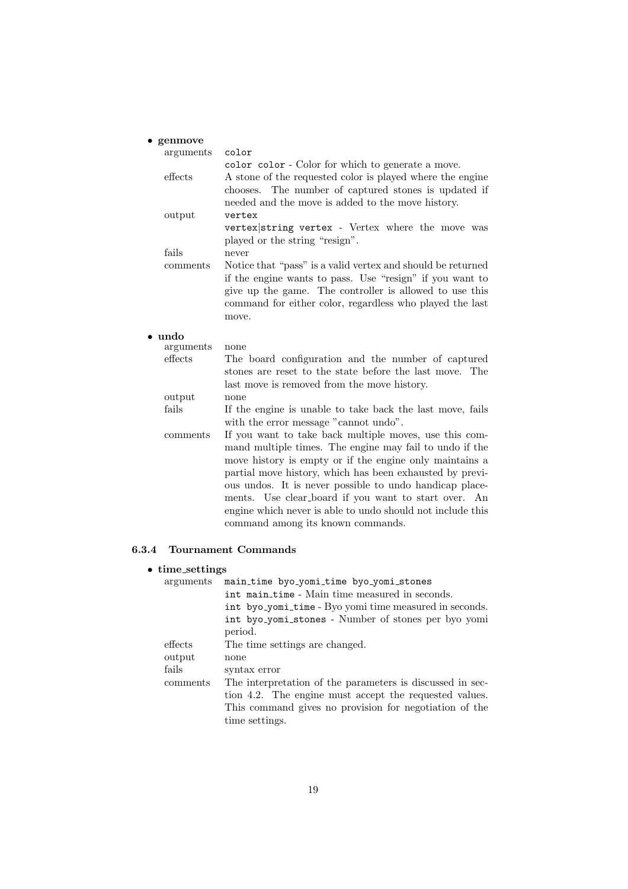| $\bullet$ genmove |                                                                                                                         |
|-------------------|-------------------------------------------------------------------------------------------------------------------------|
| arguments         | color                                                                                                                   |
|                   | color color - Color for which to generate a move.                                                                       |
| effects           | A stone of the requested color is played where the engine                                                               |
|                   | chooses. The number of captured stones is updated if                                                                    |
|                   | needed and the move is added to the move history.                                                                       |
| output            | vertex                                                                                                                  |
|                   | vertex string vertex - Vertex where the move was                                                                        |
|                   | played or the string "resign".                                                                                          |
| fails             | never                                                                                                                   |
| comments          | Notice that "pass" is a valid vertex and should be returned<br>if the engine wants to pass. Use "resign" if you want to |
|                   | give up the game. The controller is allowed to use this<br>command for either color, regardless who played the last     |
|                   | move.                                                                                                                   |
| $\bullet$ undo    |                                                                                                                         |
| arguments         | none                                                                                                                    |
| effects           | The board configuration and the number of captured                                                                      |
|                   | stones are reset to the state before the last move. The                                                                 |
|                   | last move is removed from the move history.                                                                             |
| output            | none                                                                                                                    |
| fails             | If the engine is unable to take back the last move, fails                                                               |
|                   | with the error message "cannot undo".                                                                                   |
| comments          | If you want to take back multiple moves, use this com-                                                                  |
|                   | mand multiple times. The engine may fail to undo if the                                                                 |
|                   | move history is empty or if the engine only maintains a                                                                 |
|                   | partial move history, which has been exhausted by previ-                                                                |
|                   | ous undos. It is never possible to undo handicap place-                                                                 |
|                   | ments. Use clear_board if you want to start over. An                                                                    |
|                   | engine which never is able to undo should not include this                                                              |
|                   | command among its known commands.                                                                                       |
|                   |                                                                                                                         |

### **6.3.4 Tournament Commands**

### • **time settings**

| arguments | main_time_byo_yomi_time_byo_yomi_stones<br>int main_time - Main time measured in seconds. |
|-----------|-------------------------------------------------------------------------------------------|
|           |                                                                                           |
|           | int byo_yomi_time - Byo yomi time measured in seconds.                                    |
|           | int byo_yomi_stones - Number of stones per byo yomi                                       |
|           | period.                                                                                   |
| effects   | The time settings are changed.                                                            |
| output    | none                                                                                      |
| fails     | syntax error                                                                              |
| comments  | The interpretation of the parameters is discussed in sec-                                 |
|           | tion 4.2. The engine must accept the requested values.                                    |
|           | This command gives no provision for negotiation of the                                    |
|           | time settings.                                                                            |
|           |                                                                                           |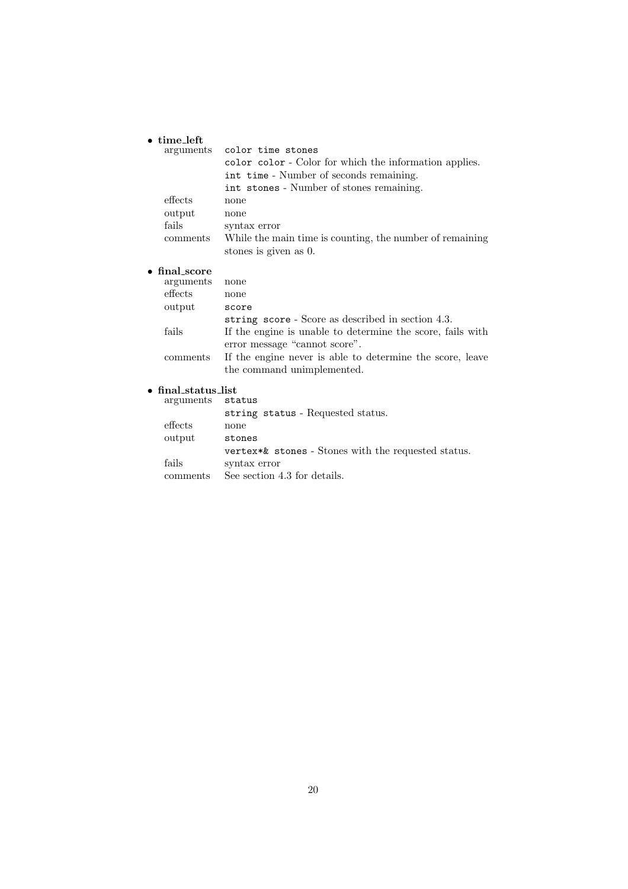#### • **time left**

• **final score**

| arguments                | color time stones                                                                 |
|--------------------------|-----------------------------------------------------------------------------------|
|                          | color color - Color for which the information applies.                            |
|                          | int time - Number of seconds remaining.                                           |
|                          | int stones - Number of stones remaining.                                          |
| effects                  | none                                                                              |
| output                   | none                                                                              |
| fails                    | syntax error                                                                      |
| comments                 | While the main time is counting, the number of remaining<br>stones is given as 0. |
| final_score<br>orcumonta | n <sub>0</sub>                                                                    |

| arguments | none                                                       |
|-----------|------------------------------------------------------------|
| effects   | none                                                       |
| output    | score                                                      |
|           | string score - Score as described in section 4.3.          |
| fails     | If the engine is unable to determine the score, fails with |
|           | error message "cannot score".                              |
| comments  | If the engine never is able to determine the score, leave  |
|           | the command unimplemented.                                 |

### • **final status list**

| arguments | status                                              |
|-----------|-----------------------------------------------------|
|           | string status - Requested status.                   |
| effects   | none                                                |
| output    | stones                                              |
|           | vertex*& stones - Stones with the requested status. |
| fails     | syntax error                                        |
| comments  | See section 4.3 for details.                        |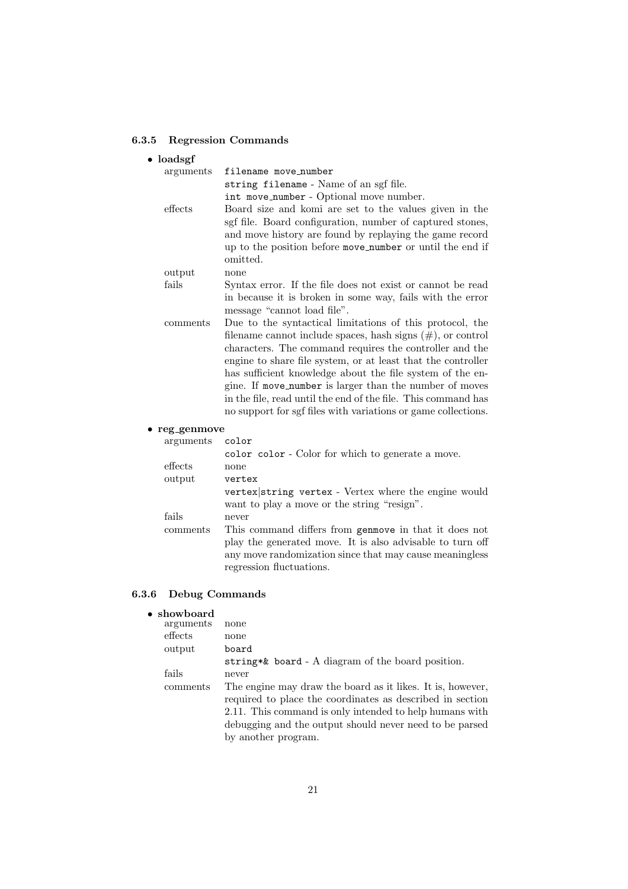### **6.3.5 Regression Commands**

| $\bullet$ loadsgf     |                                                                                                                                                                                                                                                                                                                                                                                                                                                                                                                 |
|-----------------------|-----------------------------------------------------------------------------------------------------------------------------------------------------------------------------------------------------------------------------------------------------------------------------------------------------------------------------------------------------------------------------------------------------------------------------------------------------------------------------------------------------------------|
| arguments             | filename move_number                                                                                                                                                                                                                                                                                                                                                                                                                                                                                            |
|                       | string filename - Name of an sgf file.                                                                                                                                                                                                                                                                                                                                                                                                                                                                          |
|                       | int move_number - Optional move number.                                                                                                                                                                                                                                                                                                                                                                                                                                                                         |
| effects               | Board size and komi are set to the values given in the<br>sgf file. Board configuration, number of captured stones,<br>and move history are found by replaying the game record<br>up to the position before move_number or until the end if<br>omitted.                                                                                                                                                                                                                                                         |
| output                | none                                                                                                                                                                                                                                                                                                                                                                                                                                                                                                            |
| fails                 | Syntax error. If the file does not exist or cannot be read<br>in because it is broken in some way, fails with the error<br>message "cannot load file".                                                                                                                                                                                                                                                                                                                                                          |
| comments              | Due to the syntactical limitations of this protocol, the<br>filename cannot include spaces, hash signs $(\#)$ , or control<br>characters. The command requires the controller and the<br>engine to share file system, or at least that the controller<br>has sufficient knowledge about the file system of the en-<br>gine. If move_number is larger than the number of moves<br>in the file, read until the end of the file. This command has<br>no support for sgf files with variations or game collections. |
| $\bullet$ reg_genmove |                                                                                                                                                                                                                                                                                                                                                                                                                                                                                                                 |
| arguments             | color                                                                                                                                                                                                                                                                                                                                                                                                                                                                                                           |
|                       | color color - Color for which to generate a move.                                                                                                                                                                                                                                                                                                                                                                                                                                                               |
| effects               | none                                                                                                                                                                                                                                                                                                                                                                                                                                                                                                            |
| output                | vertex                                                                                                                                                                                                                                                                                                                                                                                                                                                                                                          |
|                       | vertex string vertex - Vertex where the engine would<br>want to play a move or the string "resign".                                                                                                                                                                                                                                                                                                                                                                                                             |
| fails                 | never                                                                                                                                                                                                                                                                                                                                                                                                                                                                                                           |

comments This command differs from genmove in that it does not play the generated move. It is also advisable to turn off any move randomization since that may cause meaningless regression fluctuations.

### **6.3.6 Debug Commands**

### • **showboard**

| arguments | none                                                                                                                                                                                                                                                                 |
|-----------|----------------------------------------------------------------------------------------------------------------------------------------------------------------------------------------------------------------------------------------------------------------------|
| effects   | none                                                                                                                                                                                                                                                                 |
| output    | board                                                                                                                                                                                                                                                                |
|           | string*& board - A diagram of the board position.                                                                                                                                                                                                                    |
| fails     | never                                                                                                                                                                                                                                                                |
| comments  | The engine may draw the board as it likes. It is, however,<br>required to place the coordinates as described in section<br>2.11. This command is only intended to help humans with<br>debugging and the output should never need to be parsed<br>by another program. |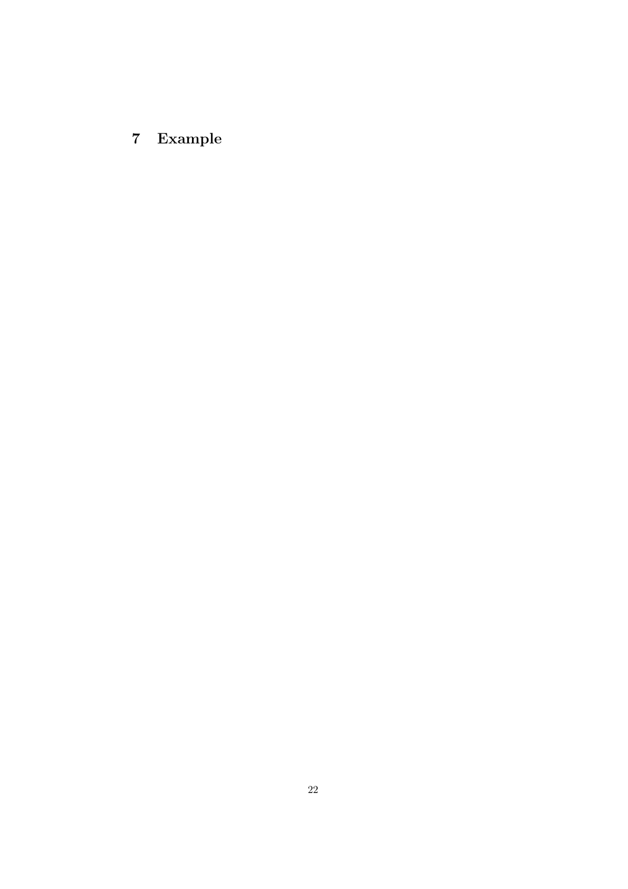# **7 Example**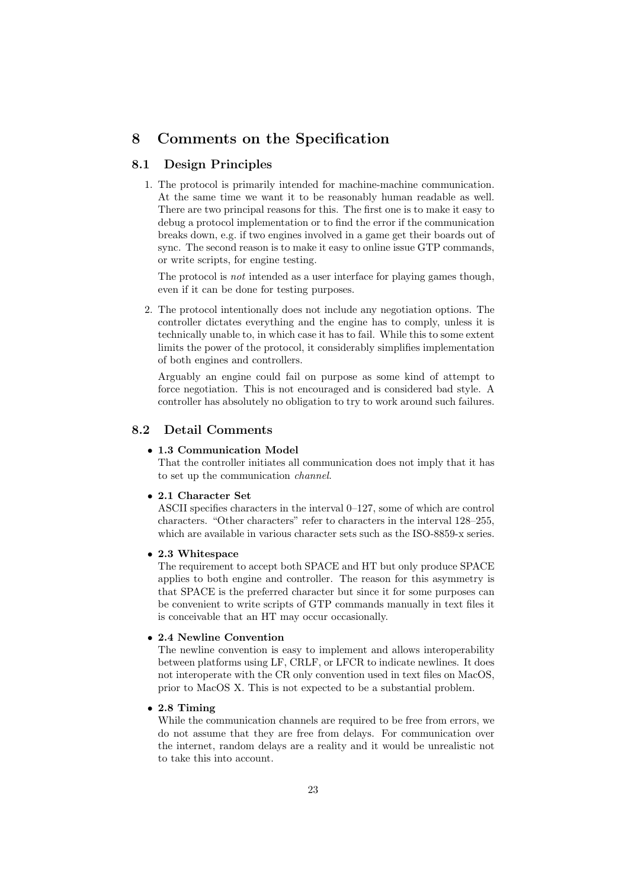### **8 Comments on the Specification**

### **8.1 Design Principles**

1. The protocol is primarily intended for machine-machine communication. At the same time we want it to be reasonably human readable as well. There are two principal reasons for this. The first one is to make it easy to debug a protocol implementation or to find the error if the communication breaks down, e.g. if two engines involved in a game get their boards out of sync. The second reason is to make it easy to online issue GTP commands, or write scripts, for engine testing.

The protocol is *not* intended as a user interface for playing games though, even if it can be done for testing purposes.

2. The protocol intentionally does not include any negotiation options. The controller dictates everything and the engine has to comply, unless it is technically unable to, in which case it has to fail. While this to some extent limits the power of the protocol, it considerably simplifies implementation of both engines and controllers.

Arguably an engine could fail on purpose as some kind of attempt to force negotiation. This is not encouraged and is considered bad style. A controller has absolutely no obligation to try to work around such failures.

### **8.2 Detail Comments**

#### • **1.3 Communication Model**

That the controller initiates all communication does not imply that it has to set up the communication *channel*.

#### • **2.1 Character Set**

ASCII specifies characters in the interval 0–127, some of which are control characters. "Other characters" refer to characters in the interval 128–255, which are available in various character sets such as the ISO-8859-x series.

### • **2.3 Whitespace**

The requirement to accept both SPACE and HT but only produce SPACE applies to both engine and controller. The reason for this asymmetry is that SPACE is the preferred character but since it for some purposes can be convenient to write scripts of GTP commands manually in text files it is conceivable that an HT may occur occasionally.

#### • **2.4 Newline Convention**

The newline convention is easy to implement and allows interoperability between platforms using LF, CRLF, or LFCR to indicate newlines. It does not interoperate with the CR only convention used in text files on MacOS, prior to MacOS X. This is not expected to be a substantial problem.

### • **2.8 Timing**

While the communication channels are required to be free from errors, we do not assume that they are free from delays. For communication over the internet, random delays are a reality and it would be unrealistic not to take this into account.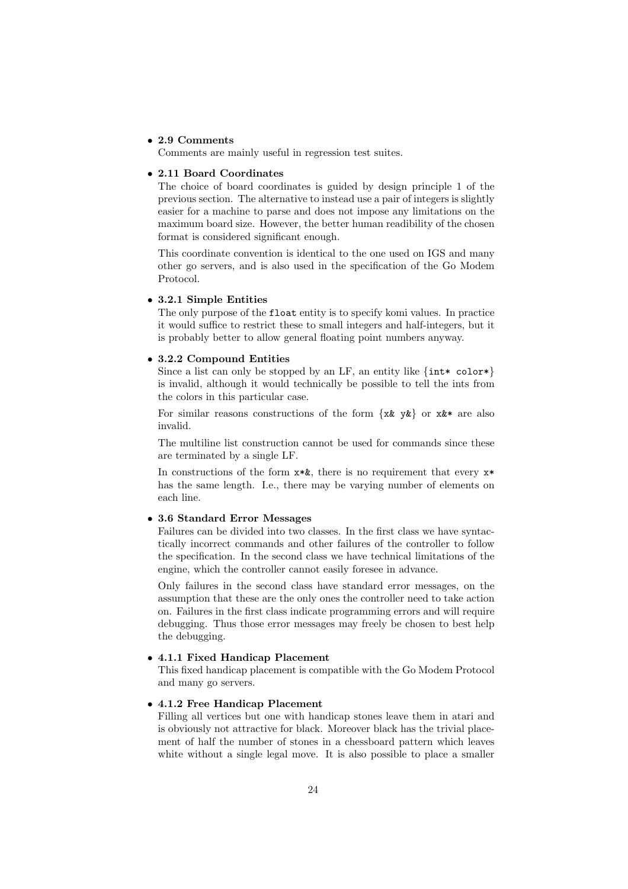#### • **2.9 Comments**

Comments are mainly useful in regression test suites.

#### • **2.11 Board Coordinates**

The choice of board coordinates is guided by design principle 1 of the previous section. The alternative to instead use a pair of integers is slightly easier for a machine to parse and does not impose any limitations on the maximum board size. However, the better human readibility of the chosen format is considered significant enough.

This coordinate convention is identical to the one used on IGS and many other go servers, and is also used in the specification of the Go Modem Protocol.

### • **3.2.1 Simple Entities**

The only purpose of the float entity is to specify komi values. In practice it would suffice to restrict these to small integers and half-integers, but it is probably better to allow general floating point numbers anyway.

#### • **3.2.2 Compound Entities**

Since a list can only be stopped by an LF, an entity like  $\{int* \text{ color*}\}$ is invalid, although it would technically be possible to tell the ints from the colors in this particular case.

For similar reasons constructions of the form  $\{x\& y\&\}$  or  $x\&*$  are also invalid.

The multiline list construction cannot be used for commands since these are terminated by a single LF.

In constructions of the form  $x * k$ , there is no requirement that every  $x *$ has the same length. I.e., there may be varying number of elements on each line.

### • **3.6 Standard Error Messages**

Failures can be divided into two classes. In the first class we have syntactically incorrect commands and other failures of the controller to follow the specification. In the second class we have technical limitations of the engine, which the controller cannot easily foresee in advance.

Only failures in the second class have standard error messages, on the assumption that these are the only ones the controller need to take action on. Failures in the first class indicate programming errors and will require debugging. Thus those error messages may freely be chosen to best help the debugging.

### • **4.1.1 Fixed Handicap Placement**

This fixed handicap placement is compatible with the Go Modem Protocol and many go servers.

### • **4.1.2 Free Handicap Placement**

Filling all vertices but one with handicap stones leave them in atari and is obviously not attractive for black. Moreover black has the trivial placement of half the number of stones in a chessboard pattern which leaves white without a single legal move. It is also possible to place a smaller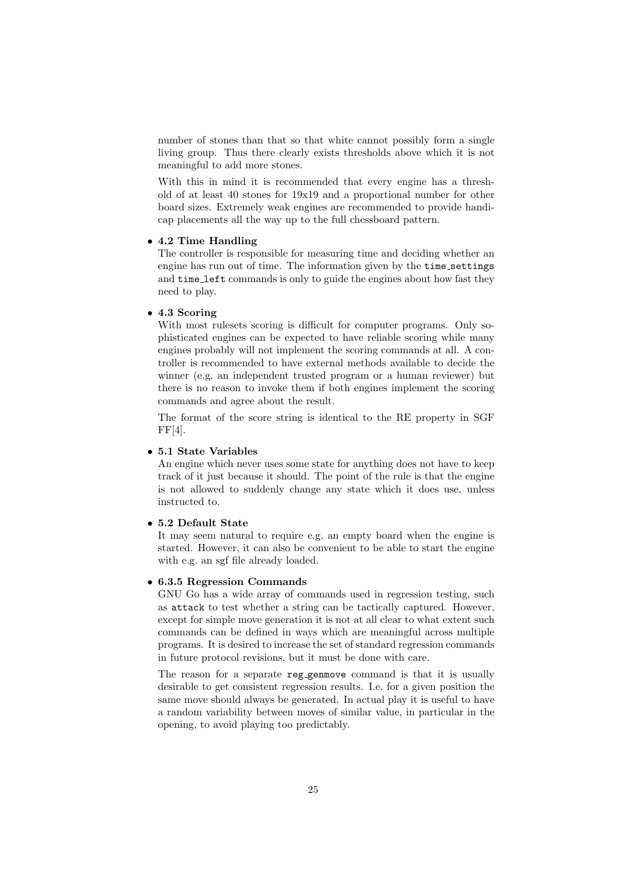number of stones than that so that white cannot possibly form a single living group. Thus there clearly exists thresholds above which it is not meaningful to add more stones.

With this in mind it is recommended that every engine has a threshold of at least 40 stones for 19x19 and a proportional number for other board sizes. Extremely weak engines are recommended to provide handicap placements all the way up to the full chessboard pattern.

#### • **4.2 Time Handling**

The controller is responsible for measuring time and deciding whether an engine has run out of time. The information given by the time settings and time left commands is only to guide the engines about how fast they need to play.

### • **4.3 Scoring**

With most rulesets scoring is difficult for computer programs. Only sophisticated engines can be expected to have reliable scoring while many engines probably will not implement the scoring commands at all. A controller is recommended to have external methods available to decide the winner (e.g. an independent trusted program or a human reviewer) but there is no reason to invoke them if both engines implement the scoring commands and agree about the result.

The format of the score string is identical to the RE property in SGF  $FF[4]$ .

#### • **5.1 State Variables**

An engine which never uses some state for anything does not have to keep track of it just because it should. The point of the rule is that the engine is not allowed to suddenly change any state which it does use, unless instructed to.

#### • **5.2 Default State**

It may seem natural to require e.g. an empty board when the engine is started. However, it can also be convenient to be able to start the engine with e.g. an sgf file already loaded.

#### • **6.3.5 Regression Commands**

GNU Go has a wide array of commands used in regression testing, such as attack to test whether a string can be tactically captured. However, except for simple move generation it is not at all clear to what extent such commands can be defined in ways which are meaningful across multiple programs. It is desired to increase the set of standard regression commands in future protocol revisions, but it must be done with care.

The reason for a separate reg\_genmove command is that it is usually desirable to get consistent regression results. I.e. for a given position the same move should always be generated. In actual play it is useful to have a random variability between moves of similar value, in particular in the opening, to avoid playing too predictably.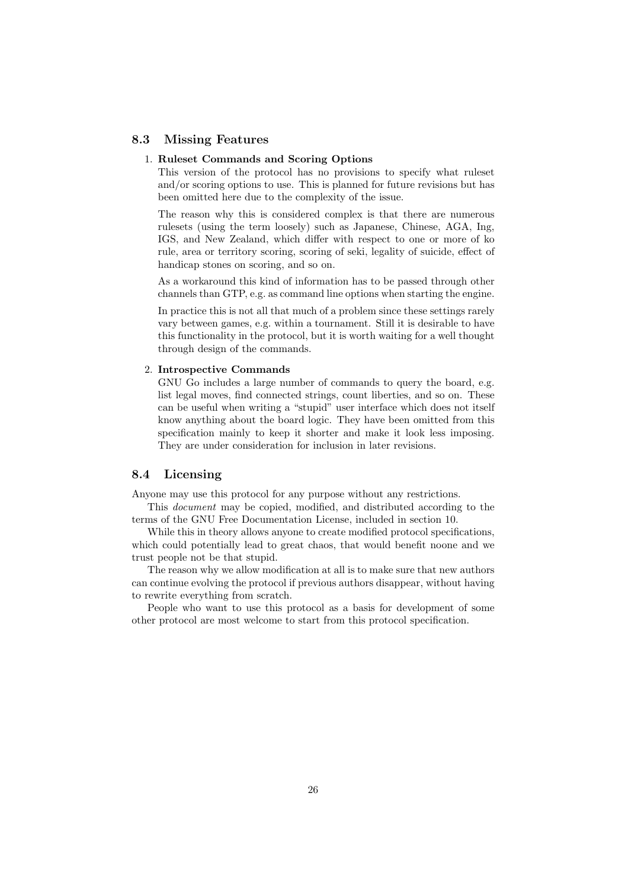### **8.3 Missing Features**

#### 1. **Ruleset Commands and Scoring Options**

This version of the protocol has no provisions to specify what ruleset and/or scoring options to use. This is planned for future revisions but has been omitted here due to the complexity of the issue.

The reason why this is considered complex is that there are numerous rulesets (using the term loosely) such as Japanese, Chinese, AGA, Ing, IGS, and New Zealand, which differ with respect to one or more of ko rule, area or territory scoring, scoring of seki, legality of suicide, effect of handicap stones on scoring, and so on.

As a workaround this kind of information has to be passed through other channels than GTP, e.g. as command line options when starting the engine.

In practice this is not all that much of a problem since these settings rarely vary between games, e.g. within a tournament. Still it is desirable to have this functionality in the protocol, but it is worth waiting for a well thought through design of the commands.

### 2. **Introspective Commands**

GNU Go includes a large number of commands to query the board, e.g. list legal moves, find connected strings, count liberties, and so on. These can be useful when writing a "stupid" user interface which does not itself know anything about the board logic. They have been omitted from this specification mainly to keep it shorter and make it look less imposing. They are under consideration for inclusion in later revisions.

### **8.4 Licensing**

Anyone may use this protocol for any purpose without any restrictions.

This *document* may be copied, modified, and distributed according to the terms of the GNU Free Documentation License, included in section 10.

While this in theory allows anyone to create modified protocol specifications, which could potentially lead to great chaos, that would benefit noone and we trust people not be that stupid.

The reason why we allow modification at all is to make sure that new authors can continue evolving the protocol if previous authors disappear, without having to rewrite everything from scratch.

People who want to use this protocol as a basis for development of some other protocol are most welcome to start from this protocol specification.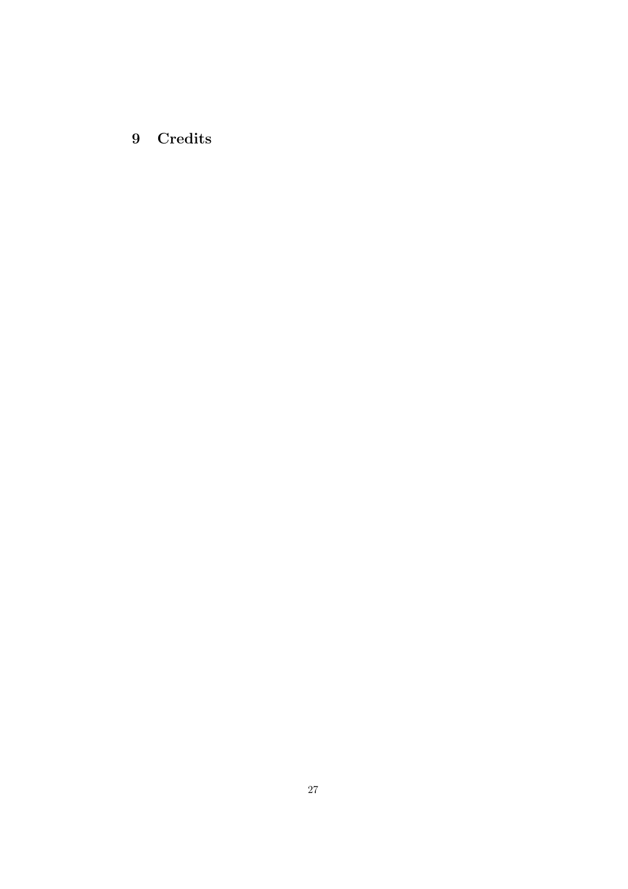**9 Credits**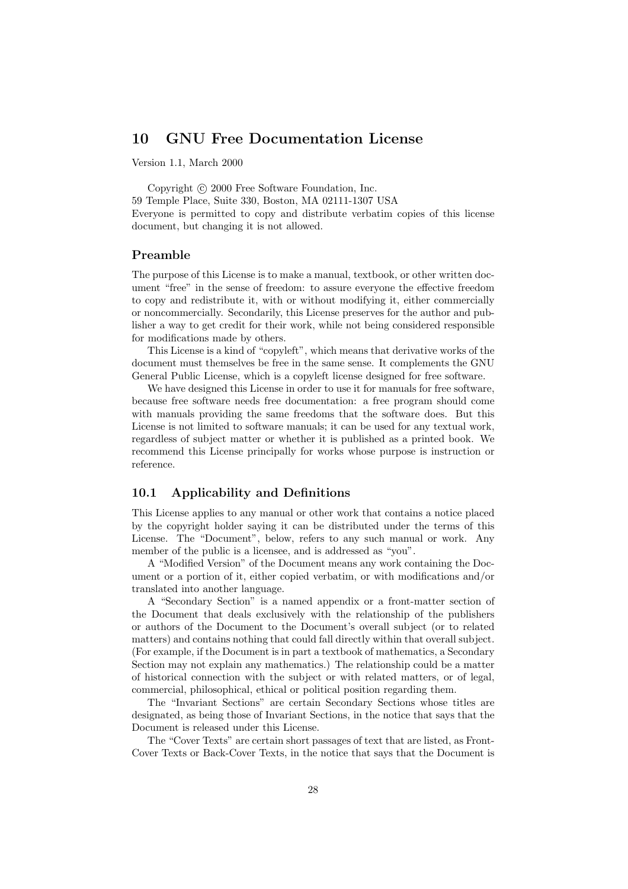### **10 GNU Free Documentation License**

Version 1.1, March 2000

Copyright  $\odot$  2000 Free Software Foundation, Inc. 59 Temple Place, Suite 330, Boston, MA 02111-1307 USA Everyone is permitted to copy and distribute verbatim copies of this license document, but changing it is not allowed.

### **Preamble**

The purpose of this License is to make a manual, textbook, or other written document "free" in the sense of freedom: to assure everyone the effective freedom to copy and redistribute it, with or without modifying it, either commercially or noncommercially. Secondarily, this License preserves for the author and publisher a way to get credit for their work, while not being considered responsible for modifications made by others.

This License is a kind of "copyleft", which means that derivative works of the document must themselves be free in the same sense. It complements the GNU General Public License, which is a copyleft license designed for free software.

We have designed this License in order to use it for manuals for free software, because free software needs free documentation: a free program should come with manuals providing the same freedoms that the software does. But this License is not limited to software manuals; it can be used for any textual work, regardless of subject matter or whether it is published as a printed book. We recommend this License principally for works whose purpose is instruction or reference.

### **10.1 Applicability and Definitions**

This License applies to any manual or other work that contains a notice placed by the copyright holder saying it can be distributed under the terms of this License. The "Document", below, refers to any such manual or work. Any member of the public is a licensee, and is addressed as "you".

A "Modified Version" of the Document means any work containing the Document or a portion of it, either copied verbatim, or with modifications and/or translated into another language.

A "Secondary Section" is a named appendix or a front-matter section of the Document that deals exclusively with the relationship of the publishers or authors of the Document to the Document's overall subject (or to related matters) and contains nothing that could fall directly within that overall subject. (For example, if the Document is in part a textbook of mathematics, a Secondary Section may not explain any mathematics.) The relationship could be a matter of historical connection with the subject or with related matters, or of legal, commercial, philosophical, ethical or political position regarding them.

The "Invariant Sections" are certain Secondary Sections whose titles are designated, as being those of Invariant Sections, in the notice that says that the Document is released under this License.

The "Cover Texts" are certain short passages of text that are listed, as Front-Cover Texts or Back-Cover Texts, in the notice that says that the Document is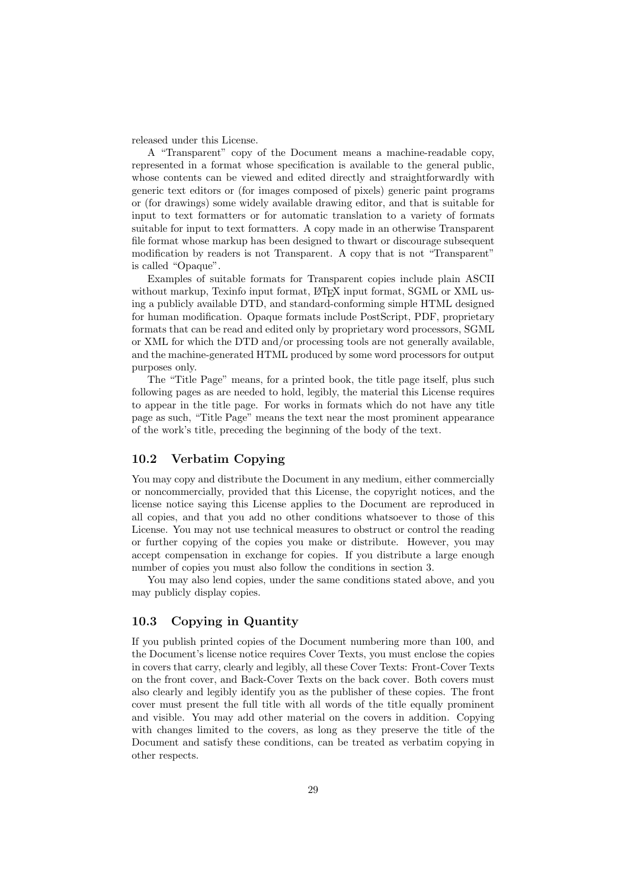released under this License.

A "Transparent" copy of the Document means a machine-readable copy, represented in a format whose specification is available to the general public, whose contents can be viewed and edited directly and straightforwardly with generic text editors or (for images composed of pixels) generic paint programs or (for drawings) some widely available drawing editor, and that is suitable for input to text formatters or for automatic translation to a variety of formats suitable for input to text formatters. A copy made in an otherwise Transparent file format whose markup has been designed to thwart or discourage subsequent modification by readers is not Transparent. A copy that is not "Transparent" is called "Opaque".

Examples of suitable formats for Transparent copies include plain ASCII without markup, Texinfo input format, LAT<sub>E</sub>X input format, SGML or XML using a publicly available DTD, and standard-conforming simple HTML designed for human modification. Opaque formats include PostScript, PDF, proprietary formats that can be read and edited only by proprietary word processors, SGML or XML for which the DTD and/or processing tools are not generally available, and the machine-generated HTML produced by some word processors for output purposes only.

The "Title Page" means, for a printed book, the title page itself, plus such following pages as are needed to hold, legibly, the material this License requires to appear in the title page. For works in formats which do not have any title page as such, "Title Page" means the text near the most prominent appearance of the work's title, preceding the beginning of the body of the text.

### **10.2 Verbatim Copying**

You may copy and distribute the Document in any medium, either commercially or noncommercially, provided that this License, the copyright notices, and the license notice saying this License applies to the Document are reproduced in all copies, and that you add no other conditions whatsoever to those of this License. You may not use technical measures to obstruct or control the reading or further copying of the copies you make or distribute. However, you may accept compensation in exchange for copies. If you distribute a large enough number of copies you must also follow the conditions in section 3.

You may also lend copies, under the same conditions stated above, and you may publicly display copies.

### **10.3 Copying in Quantity**

If you publish printed copies of the Document numbering more than 100, and the Document's license notice requires Cover Texts, you must enclose the copies in covers that carry, clearly and legibly, all these Cover Texts: Front-Cover Texts on the front cover, and Back-Cover Texts on the back cover. Both covers must also clearly and legibly identify you as the publisher of these copies. The front cover must present the full title with all words of the title equally prominent and visible. You may add other material on the covers in addition. Copying with changes limited to the covers, as long as they preserve the title of the Document and satisfy these conditions, can be treated as verbatim copying in other respects.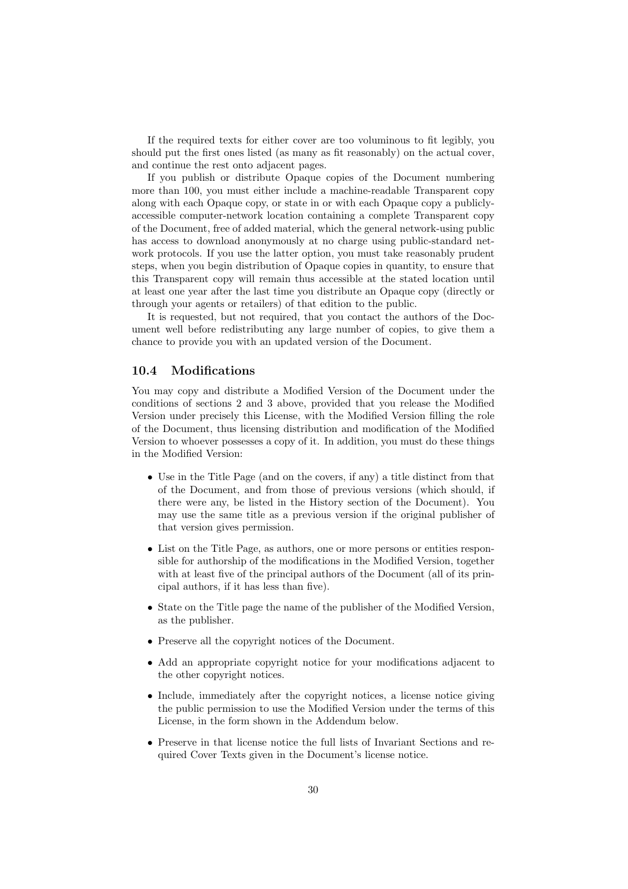If the required texts for either cover are too voluminous to fit legibly, you should put the first ones listed (as many as fit reasonably) on the actual cover, and continue the rest onto adjacent pages.

If you publish or distribute Opaque copies of the Document numbering more than 100, you must either include a machine-readable Transparent copy along with each Opaque copy, or state in or with each Opaque copy a publiclyaccessible computer-network location containing a complete Transparent copy of the Document, free of added material, which the general network-using public has access to download anonymously at no charge using public-standard network protocols. If you use the latter option, you must take reasonably prudent steps, when you begin distribution of Opaque copies in quantity, to ensure that this Transparent copy will remain thus accessible at the stated location until at least one year after the last time you distribute an Opaque copy (directly or through your agents or retailers) of that edition to the public.

It is requested, but not required, that you contact the authors of the Document well before redistributing any large number of copies, to give them a chance to provide you with an updated version of the Document.

### **10.4 Modifications**

You may copy and distribute a Modified Version of the Document under the conditions of sections 2 and 3 above, provided that you release the Modified Version under precisely this License, with the Modified Version filling the role of the Document, thus licensing distribution and modification of the Modified Version to whoever possesses a copy of it. In addition, you must do these things in the Modified Version:

- Use in the Title Page (and on the covers, if any) a title distinct from that of the Document, and from those of previous versions (which should, if there were any, be listed in the History section of the Document). You may use the same title as a previous version if the original publisher of that version gives permission.
- List on the Title Page, as authors, one or more persons or entities responsible for authorship of the modifications in the Modified Version, together with at least five of the principal authors of the Document (all of its principal authors, if it has less than five).
- State on the Title page the name of the publisher of the Modified Version, as the publisher.
- Preserve all the copyright notices of the Document.
- Add an appropriate copyright notice for your modifications adjacent to the other copyright notices.
- Include, immediately after the copyright notices, a license notice giving the public permission to use the Modified Version under the terms of this License, in the form shown in the Addendum below.
- Preserve in that license notice the full lists of Invariant Sections and required Cover Texts given in the Document's license notice.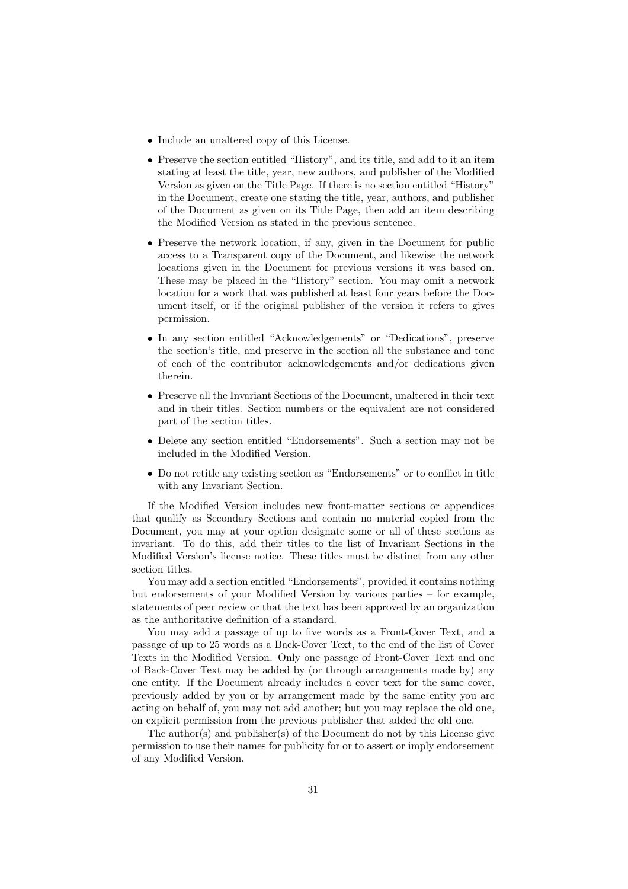- Include an unaltered copy of this License.
- Preserve the section entitled "History", and its title, and add to it an item stating at least the title, year, new authors, and publisher of the Modified Version as given on the Title Page. If there is no section entitled "History" in the Document, create one stating the title, year, authors, and publisher of the Document as given on its Title Page, then add an item describing the Modified Version as stated in the previous sentence.
- Preserve the network location, if any, given in the Document for public access to a Transparent copy of the Document, and likewise the network locations given in the Document for previous versions it was based on. These may be placed in the "History" section. You may omit a network location for a work that was published at least four years before the Document itself, or if the original publisher of the version it refers to gives permission.
- In any section entitled "Acknowledgements" or "Dedications", preserve the section's title, and preserve in the section all the substance and tone of each of the contributor acknowledgements and/or dedications given therein.
- Preserve all the Invariant Sections of the Document, unaltered in their text and in their titles. Section numbers or the equivalent are not considered part of the section titles.
- Delete any section entitled "Endorsements". Such a section may not be included in the Modified Version.
- Do not retitle any existing section as "Endorsements" or to conflict in title with any Invariant Section.

If the Modified Version includes new front-matter sections or appendices that qualify as Secondary Sections and contain no material copied from the Document, you may at your option designate some or all of these sections as invariant. To do this, add their titles to the list of Invariant Sections in the Modified Version's license notice. These titles must be distinct from any other section titles.

You may add a section entitled "Endorsements", provided it contains nothing but endorsements of your Modified Version by various parties – for example, statements of peer review or that the text has been approved by an organization as the authoritative definition of a standard.

You may add a passage of up to five words as a Front-Cover Text, and a passage of up to 25 words as a Back-Cover Text, to the end of the list of Cover Texts in the Modified Version. Only one passage of Front-Cover Text and one of Back-Cover Text may be added by (or through arrangements made by) any one entity. If the Document already includes a cover text for the same cover, previously added by you or by arrangement made by the same entity you are acting on behalf of, you may not add another; but you may replace the old one, on explicit permission from the previous publisher that added the old one.

The author(s) and publisher(s) of the Document do not by this License give permission to use their names for publicity for or to assert or imply endorsement of any Modified Version.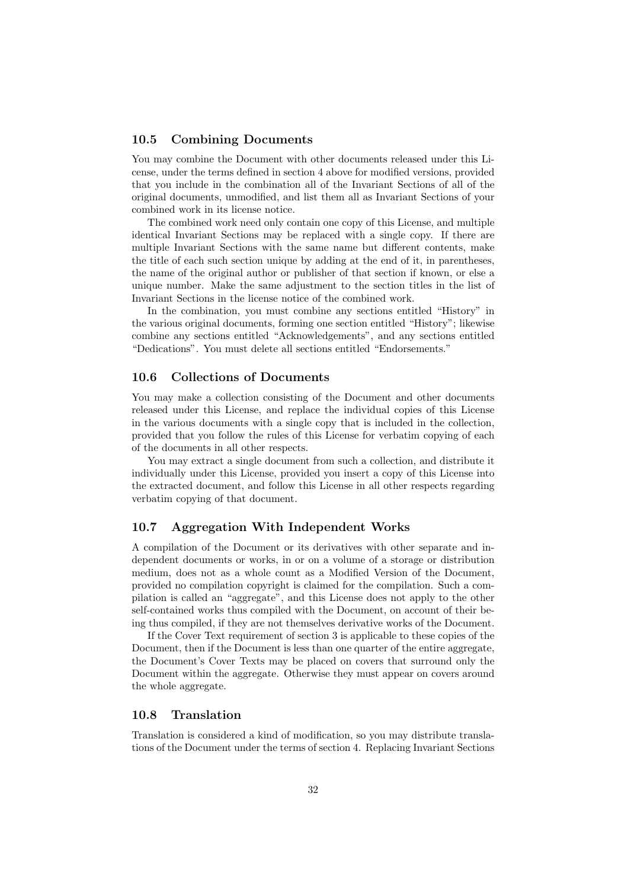### **10.5 Combining Documents**

You may combine the Document with other documents released under this License, under the terms defined in section 4 above for modified versions, provided that you include in the combination all of the Invariant Sections of all of the original documents, unmodified, and list them all as Invariant Sections of your combined work in its license notice.

The combined work need only contain one copy of this License, and multiple identical Invariant Sections may be replaced with a single copy. If there are multiple Invariant Sections with the same name but different contents, make the title of each such section unique by adding at the end of it, in parentheses, the name of the original author or publisher of that section if known, or else a unique number. Make the same adjustment to the section titles in the list of Invariant Sections in the license notice of the combined work.

In the combination, you must combine any sections entitled "History" in the various original documents, forming one section entitled "History"; likewise combine any sections entitled "Acknowledgements", and any sections entitled "Dedications". You must delete all sections entitled "Endorsements."

### **10.6 Collections of Documents**

You may make a collection consisting of the Document and other documents released under this License, and replace the individual copies of this License in the various documents with a single copy that is included in the collection, provided that you follow the rules of this License for verbatim copying of each of the documents in all other respects.

You may extract a single document from such a collection, and distribute it individually under this License, provided you insert a copy of this License into the extracted document, and follow this License in all other respects regarding verbatim copying of that document.

### **10.7 Aggregation With Independent Works**

A compilation of the Document or its derivatives with other separate and independent documents or works, in or on a volume of a storage or distribution medium, does not as a whole count as a Modified Version of the Document, provided no compilation copyright is claimed for the compilation. Such a compilation is called an "aggregate", and this License does not apply to the other self-contained works thus compiled with the Document, on account of their being thus compiled, if they are not themselves derivative works of the Document.

If the Cover Text requirement of section 3 is applicable to these copies of the Document, then if the Document is less than one quarter of the entire aggregate, the Document's Cover Texts may be placed on covers that surround only the Document within the aggregate. Otherwise they must appear on covers around the whole aggregate.

### **10.8 Translation**

Translation is considered a kind of modification, so you may distribute translations of the Document under the terms of section 4. Replacing Invariant Sections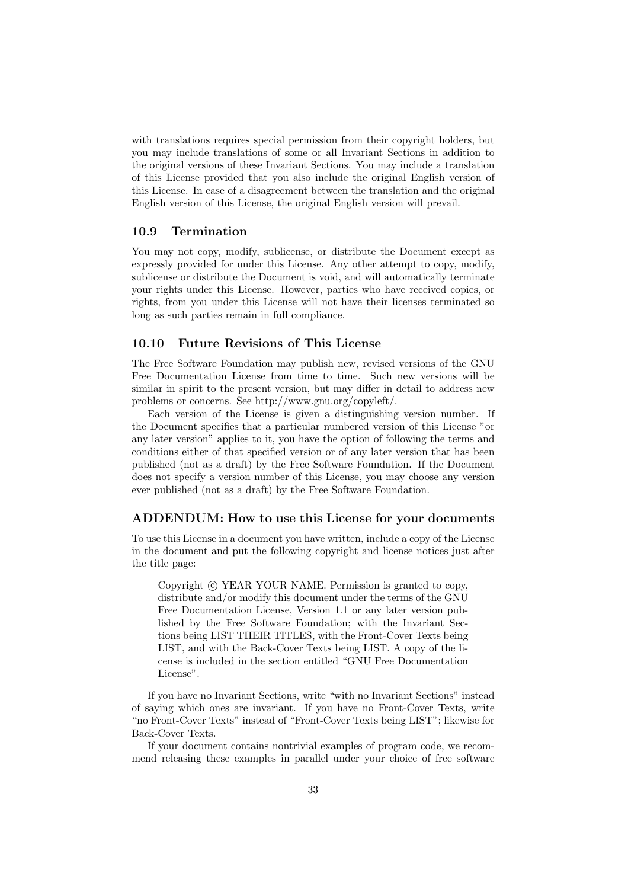with translations requires special permission from their copyright holders, but you may include translations of some or all Invariant Sections in addition to the original versions of these Invariant Sections. You may include a translation of this License provided that you also include the original English version of this License. In case of a disagreement between the translation and the original English version of this License, the original English version will prevail.

### **10.9 Termination**

You may not copy, modify, sublicense, or distribute the Document except as expressly provided for under this License. Any other attempt to copy, modify, sublicense or distribute the Document is void, and will automatically terminate your rights under this License. However, parties who have received copies, or rights, from you under this License will not have their licenses terminated so long as such parties remain in full compliance.

### **10.10 Future Revisions of This License**

The Free Software Foundation may publish new, revised versions of the GNU Free Documentation License from time to time. Such new versions will be similar in spirit to the present version, but may differ in detail to address new problems or concerns. See http://www.gnu.org/copyleft/.

Each version of the License is given a distinguishing version number. If the Document specifies that a particular numbered version of this License "or any later version" applies to it, you have the option of following the terms and conditions either of that specified version or of any later version that has been published (not as a draft) by the Free Software Foundation. If the Document does not specify a version number of this License, you may choose any version ever published (not as a draft) by the Free Software Foundation.

### **ADDENDUM: How to use this License for your documents**

To use this License in a document you have written, include a copy of the License in the document and put the following copyright and license notices just after the title page:

Copyright (c) YEAR YOUR NAME. Permission is granted to copy, distribute and/or modify this document under the terms of the GNU Free Documentation License, Version 1.1 or any later version published by the Free Software Foundation; with the Invariant Sections being LIST THEIR TITLES, with the Front-Cover Texts being LIST, and with the Back-Cover Texts being LIST. A copy of the license is included in the section entitled "GNU Free Documentation License".

If you have no Invariant Sections, write "with no Invariant Sections" instead of saying which ones are invariant. If you have no Front-Cover Texts, write "no Front-Cover Texts" instead of "Front-Cover Texts being LIST"; likewise for Back-Cover Texts.

If your document contains nontrivial examples of program code, we recommend releasing these examples in parallel under your choice of free software